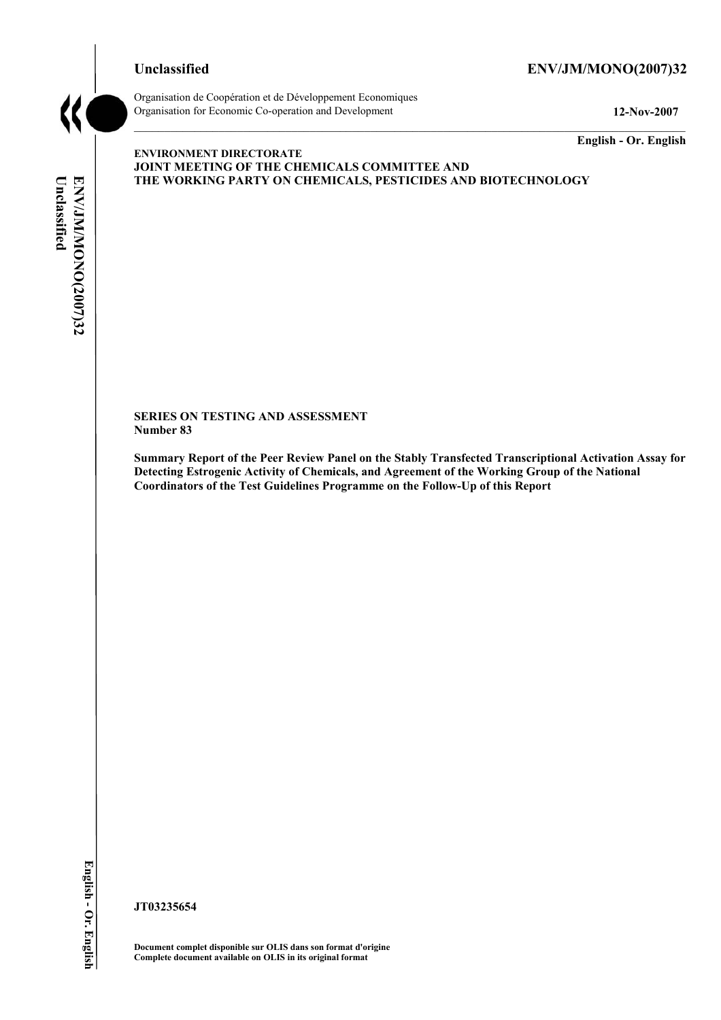# **Unclassified ENV/JM/MONO(2007)32**



Organisation de Coopération et de Développement Economiques Organisation for Economic Co-operation and Development **12-Nov-2007** 

**English - Or. English** 

# Unclassified **Unclassified**  ENV/JM/MONO(2007)32 **ENV/JM/MONO(2007)32 English - Or. English**

#### **ENVIRONMENT DIRECTORATE JOINT MEETING OF THE CHEMICALS COMMITTEE AND THE WORKING PARTY ON CHEMICALS, PESTICIDES AND BIOTECHNOLOGY**

**SERIES ON TESTING AND ASSESSMENT Number 83** 

**Summary Report of the Peer Review Panel on the Stably Transfected Transcriptional Activation Assay for Detecting Estrogenic Activity of Chemicals, and Agreement of the Working Group of the National Coordinators of the Test Guidelines Programme on the Follow-Up of this Report** 

**JT03235654** 

**Document complet disponible sur OLIS dans son format d'origine Complete document available on OLIS in its original format**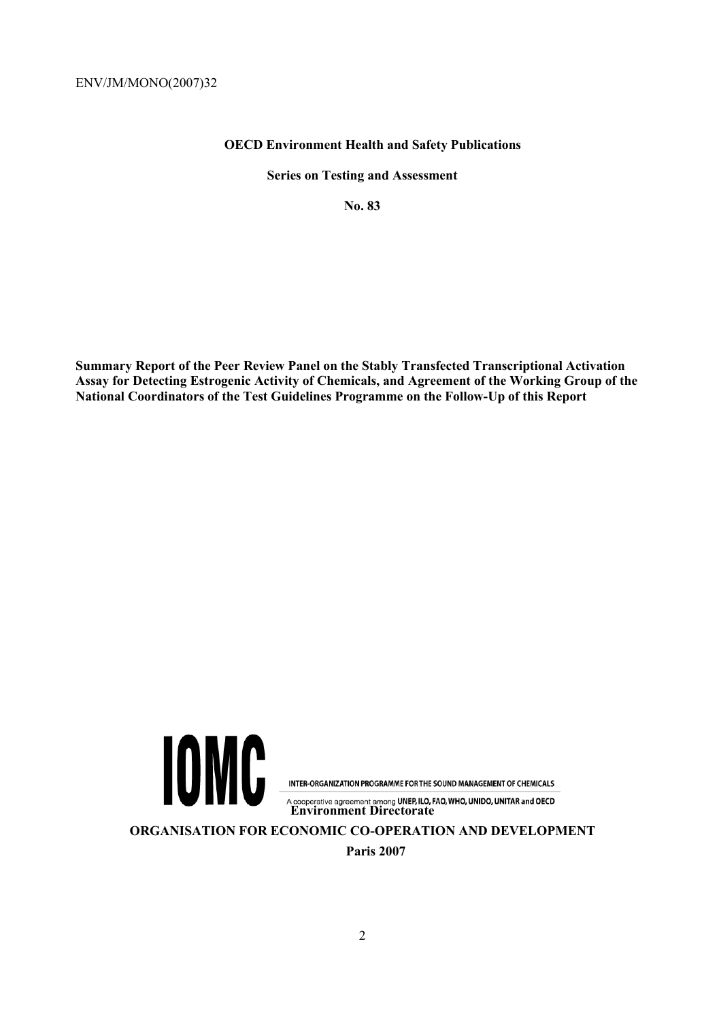# **OECD Environment Health and Safety Publications**

**Series on Testing and Assessment** 

**No. 83** 

**Summary Report of the Peer Review Panel on the Stably Transfected Transcriptional Activation Assay for Detecting Estrogenic Activity of Chemicals, and Agreement of the Working Group of the National Coordinators of the Test Guidelines Programme on the Follow-Up of this Report** 



INTER-ORGANIZATION PROGRAMME FOR THE SOUND MANAGEMENT OF CHEMICALS

A cooperative agreement among UNEP, ILO, FAO, WHO, UNIDO, UNITAR and OECD<br>**Environment Directorate** 

**ORGANISATION FOR ECONOMIC CO-OPERATION AND DEVELOPMENT** 

**Paris 2007**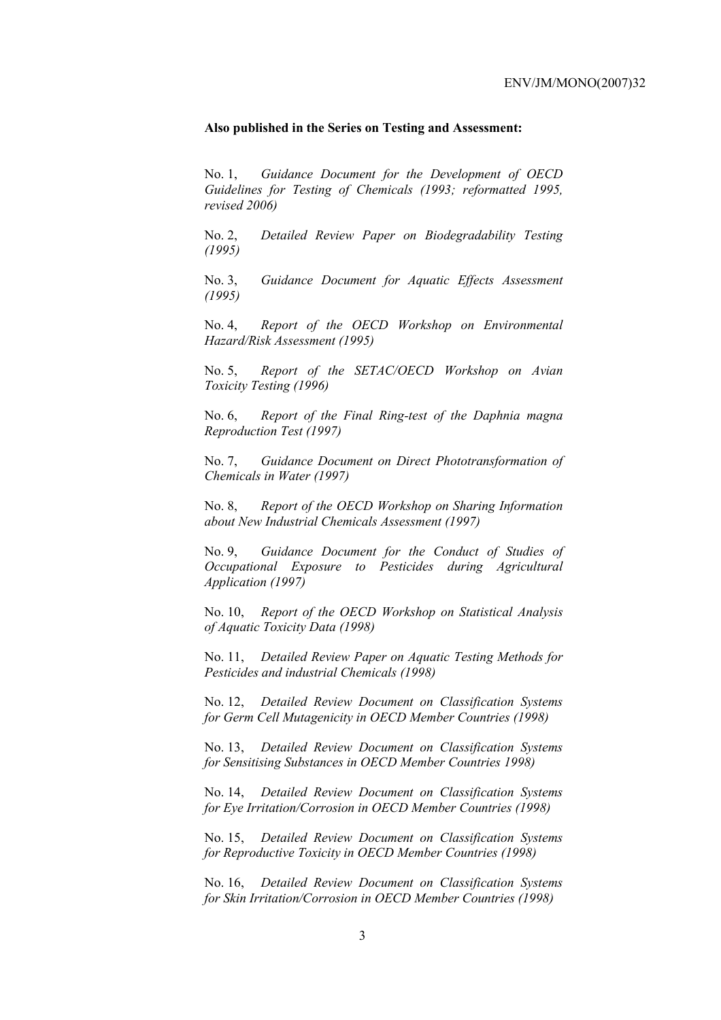#### **Also published in the Series on Testing and Assessment:**

No. 1, *Guidance Document for the Development of OECD Guidelines for Testing of Chemicals (1993; reformatted 1995, revised 2006)*

No. 2, *Detailed Review Paper on Biodegradability Testing (1995)*

No. 3, *Guidance Document for Aquatic Effects Assessment (1995)* 

No. 4, *Report of the OECD Workshop on Environmental Hazard/Risk Assessment (1995)*

No. 5, *Report of the SETAC/OECD Workshop on Avian Toxicity Testing (1996)*

No. 6, *Report of the Final Ring-test of the Daphnia magna Reproduction Test (1997)*

No. 7, *Guidance Document on Direct Phototransformation of Chemicals in Water (1997)* 

No. 8, *Report of the OECD Workshop on Sharing Information about New Industrial Chemicals Assessment (1997)*

No. 9, *Guidance Document for the Conduct of Studies of Occupational Exposure to Pesticides during Agricultural Application (1997)*

No. 10, *Report of the OECD Workshop on Statistical Analysis of Aquatic Toxicity Data (1998)*

No. 11, *Detailed Review Paper on Aquatic Testing Methods for Pesticides and industrial Chemicals (1998)*

No. 12, *Detailed Review Document on Classification Systems for Germ Cell Mutagenicity in OECD Member Countries (1998)*

No. 13, *Detailed Review Document on Classification Systems for Sensitising Substances in OECD Member Countries 1998)*

No. 14, *Detailed Review Document on Classification Systems for Eye Irritation/Corrosion in OECD Member Countries (1998)*

No. 15, *Detailed Review Document on Classification Systems for Reproductive Toxicity in OECD Member Countries (1998)*

No. 16, *Detailed Review Document on Classification Systems for Skin Irritation/Corrosion in OECD Member Countries (1998)*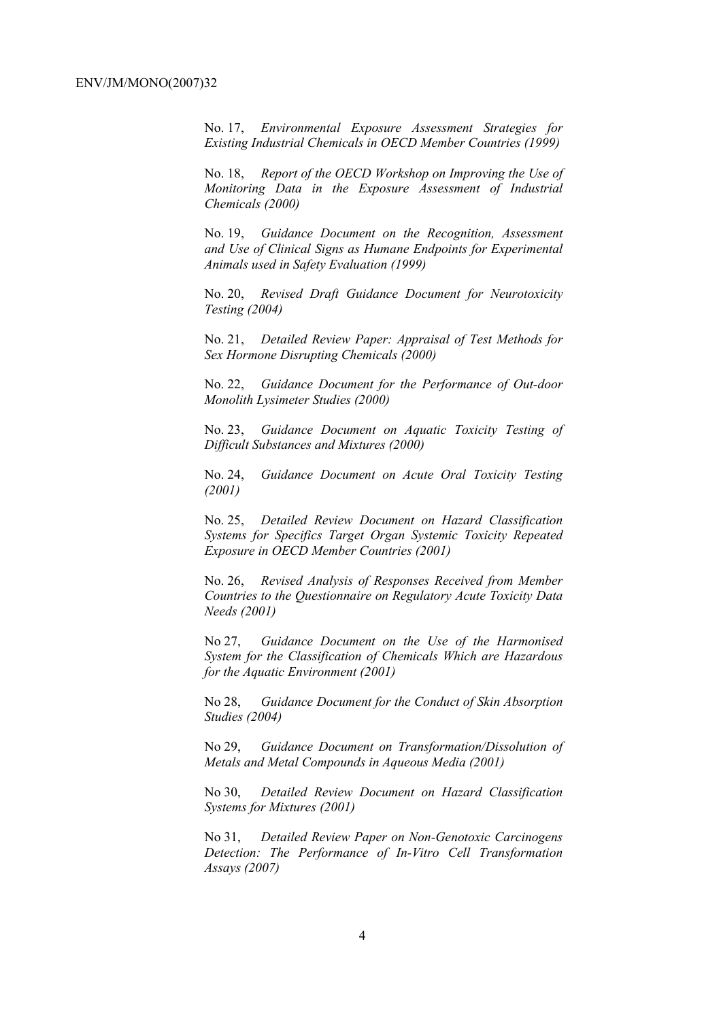No. 17, *Environmental Exposure Assessment Strategies for Existing Industrial Chemicals in OECD Member Countries (1999)*

No. 18, *Report of the OECD Workshop on Improving the Use of Monitoring Data in the Exposure Assessment of Industrial Chemicals (2000)*

No. 19, *Guidance Document on the Recognition, Assessment and Use of Clinical Signs as Humane Endpoints for Experimental Animals used in Safety Evaluation (1999)*

No. 20, *Revised Draft Guidance Document for Neurotoxicity Testing (2004)*

No. 21, *Detailed Review Paper: Appraisal of Test Methods for Sex Hormone Disrupting Chemicals (2000)*

No. 22, *Guidance Document for the Performance of Out-door Monolith Lysimeter Studies (2000)*

No. 23, *Guidance Document on Aquatic Toxicity Testing of Difficult Substances and Mixtures (2000)*

No. 24, *Guidance Document on Acute Oral Toxicity Testing (2001)*

No. 25, *Detailed Review Document on Hazard Classification Systems for Specifics Target Organ Systemic Toxicity Repeated Exposure in OECD Member Countries (2001)*

No. 26, *Revised Analysis of Responses Received from Member Countries to the Questionnaire on Regulatory Acute Toxicity Data Needs (2001)*

No 27, *Guidance Document on the Use of the Harmonised System for the Classification of Chemicals Which are Hazardous for the Aquatic Environment (2001)*

No 28, *Guidance Document for the Conduct of Skin Absorption Studies (2004)*

No 29, *Guidance Document on Transformation/Dissolution of Metals and Metal Compounds in Aqueous Media (2001)*

No 30, *Detailed Review Document on Hazard Classification Systems for Mixtures (2001)*

No 31, *Detailed Review Paper on Non-Genotoxic Carcinogens Detection: The Performance of In-Vitro Cell Transformation Assays (2007)*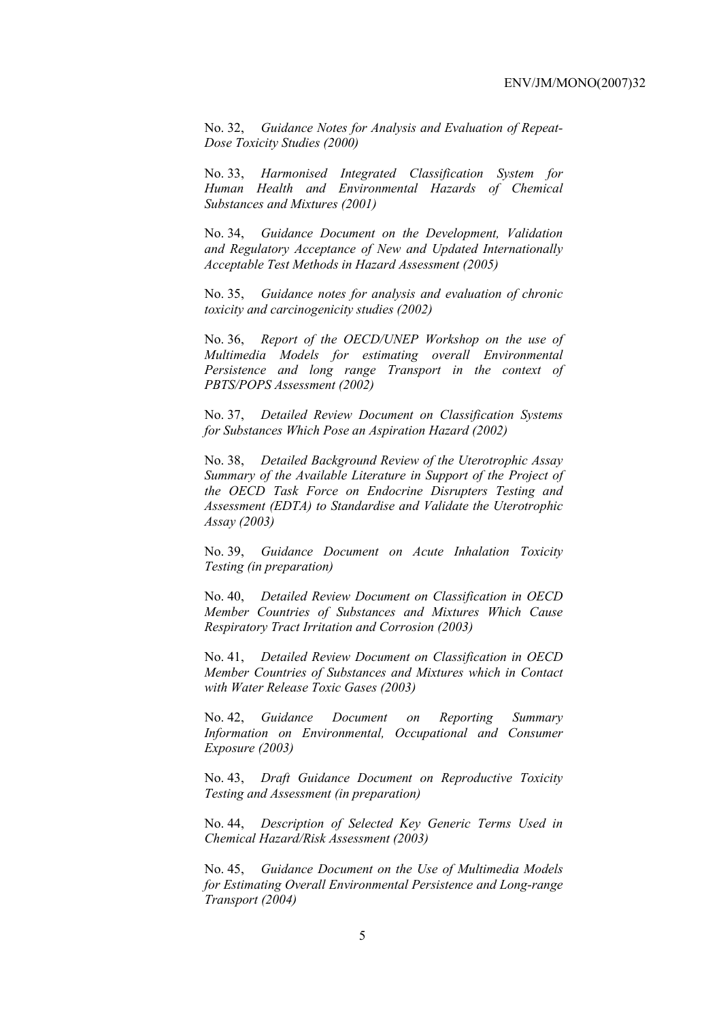No. 32, *Guidance Notes for Analysis and Evaluation of Repeat-Dose Toxicity Studies (2000)*

No. 33, *Harmonised Integrated Classification System for Human Health and Environmental Hazards of Chemical Substances and Mixtures (2001)*

No. 34, *Guidance Document on the Development, Validation and Regulatory Acceptance of New and Updated Internationally Acceptable Test Methods in Hazard Assessment (2005)*

No. 35, *Guidance notes for analysis and evaluation of chronic toxicity and carcinogenicity studies (2002)*

No. 36, *Report of the OECD/UNEP Workshop on the use of Multimedia Models for estimating overall Environmental Persistence and long range Transport in the context of PBTS/POPS Assessment (2002)*

No. 37, *Detailed Review Document on Classification Systems for Substances Which Pose an Aspiration Hazard (2002)*

No. 38, *Detailed Background Review of the Uterotrophic Assay Summary of the Available Literature in Support of the Project of the OECD Task Force on Endocrine Disrupters Testing and Assessment (EDTA) to Standardise and Validate the Uterotrophic Assay (2003)*

No. 39, *Guidance Document on Acute Inhalation Toxicity Testing (in preparation)*

No. 40, *Detailed Review Document on Classification in OECD Member Countries of Substances and Mixtures Which Cause Respiratory Tract Irritation and Corrosion (2003)*

No. 41, *Detailed Review Document on Classification in OECD Member Countries of Substances and Mixtures which in Contact with Water Release Toxic Gases (2003)*

No. 42, *Guidance Document on Reporting Summary Information on Environmental, Occupational and Consumer Exposure (2003)*

No. 43, *Draft Guidance Document on Reproductive Toxicity Testing and Assessment (in preparation)*

No. 44, *Description of Selected Key Generic Terms Used in Chemical Hazard/Risk Assessment (2003)* 

No. 45, *Guidance Document on the Use of Multimedia Models for Estimating Overall Environmental Persistence and Long-range Transport (2004)*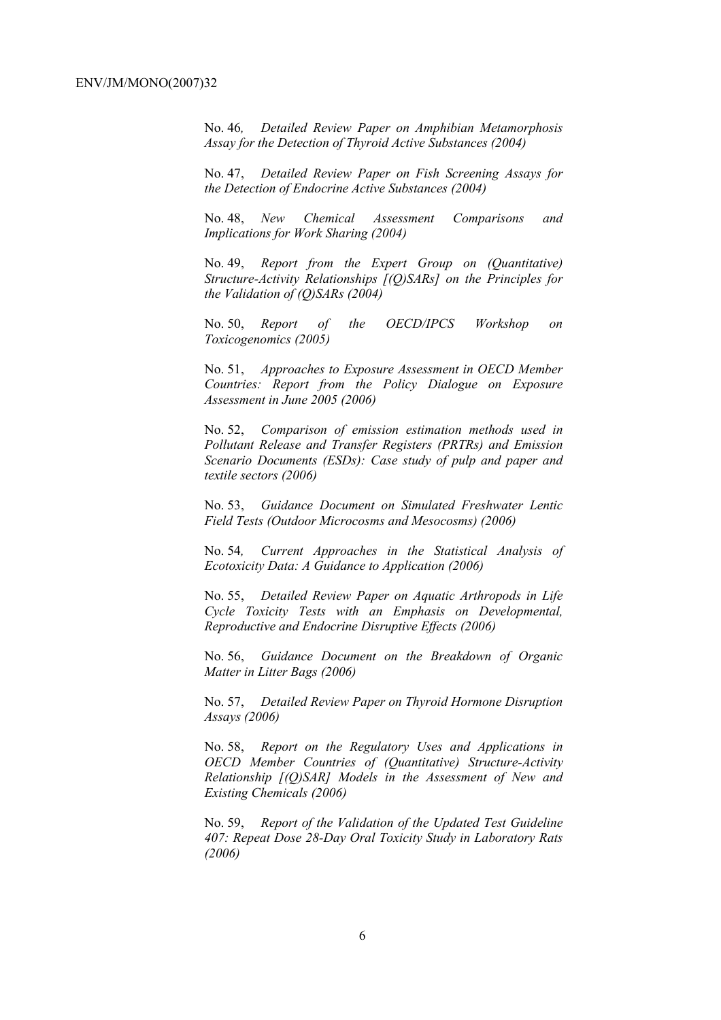No. 46*, Detailed Review Paper on Amphibian Metamorphosis Assay for the Detection of Thyroid Active Substances (2004)* 

No. 47, *Detailed Review Paper on Fish Screening Assays for the Detection of Endocrine Active Substances (2004)* 

No. 48, *New Chemical Assessment Comparisons and Implications for Work Sharing (2004)* 

No. 49, *Report from the Expert Group on (Quantitative) Structure-Activity Relationships [(Q)SARs] on the Principles for the Validation of (Q)SARs (2004)* 

No. 50, *Report of the OECD/IPCS Workshop on Toxicogenomics (2005)* 

No. 51, *Approaches to Exposure Assessment in OECD Member Countries: Report from the Policy Dialogue on Exposure Assessment in June 2005 (2006)* 

No. 52, *Comparison of emission estimation methods used in Pollutant Release and Transfer Registers (PRTRs) and Emission Scenario Documents (ESDs): Case study of pulp and paper and textile sectors (2006)* 

No. 53, *Guidance Document on Simulated Freshwater Lentic Field Tests (Outdoor Microcosms and Mesocosms) (2006)* 

No. 54*, Current Approaches in the Statistical Analysis of Ecotoxicity Data: A Guidance to Application (2006)* 

No. 55, *Detailed Review Paper on Aquatic Arthropods in Life Cycle Toxicity Tests with an Emphasis on Developmental, Reproductive and Endocrine Disruptive Effects (2006)* 

No. 56, *Guidance Document on the Breakdown of Organic Matter in Litter Bags (2006)* 

No. 57, *Detailed Review Paper on Thyroid Hormone Disruption Assays (2006)* 

No. 58, *Report on the Regulatory Uses and Applications in OECD Member Countries of (Quantitative) Structure-Activity Relationship [(Q)SAR] Models in the Assessment of New and Existing Chemicals (2006)* 

No. 59, *Report of the Validation of the Updated Test Guideline 407: Repeat Dose 28-Day Oral Toxicity Study in Laboratory Rats (2006)*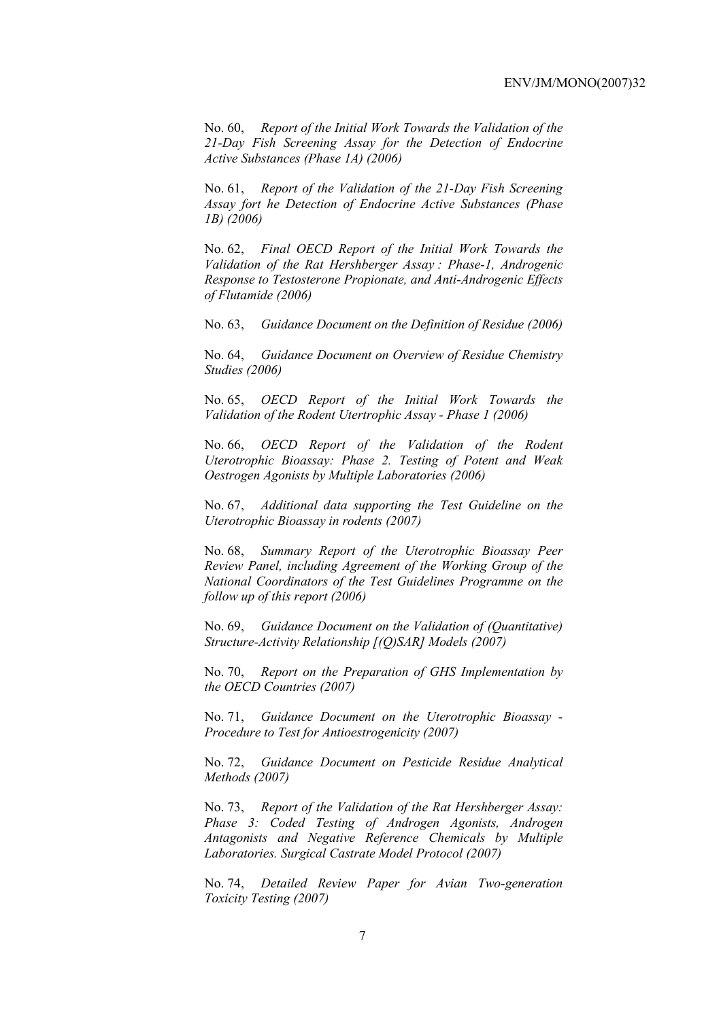No. 60, *Report of the Initial Work Towards the Validation of the 21-Day Fish Screening Assay for the Detection of Endocrine Active Substances (Phase 1A) (2006)* 

No. 61, *Report of the Validation of the 21-Day Fish Screening Assay fort he Detection of Endocrine Active Substances (Phase 1B) (2006)* 

No. 62, *Final OECD Report of the Initial Work Towards the Validation of the Rat Hershberger Assay : Phase-1, Androgenic Response to Testosterone Propionate, and Anti-Androgenic Effects of Flutamide (2006)* 

No. 63, *Guidance Document on the Definition of Residue (2006)* 

No. 64, *Guidance Document on Overview of Residue Chemistry Studies (2006)* 

No. 65, *OECD Report of the Initial Work Towards the Validation of the Rodent Utertrophic Assay - Phase 1 (2006)* 

No. 66, *OECD Report of the Validation of the Rodent Uterotrophic Bioassay: Phase 2. Testing of Potent and Weak Oestrogen Agonists by Multiple Laboratories (2006)* 

No. 67, *Additional data supporting the Test Guideline on the Uterotrophic Bioassay in rodents (2007)* 

No. 68, *Summary Report of the Uterotrophic Bioassay Peer Review Panel, including Agreement of the Working Group of the National Coordinators of the Test Guidelines Programme on the follow up of this report (2006)* 

No. 69, *Guidance Document on the Validation of (Quantitative) Structure-Activity Relationship [(Q)SAR] Models (2007)* 

No. 70, *Report on the Preparation of GHS Implementation by the OECD Countries (2007)*

No. 71, *Guidance Document on the Uterotrophic Bioassay - Procedure to Test for Antioestrogenicity (2007)*

No. 72, *Guidance Document on Pesticide Residue Analytical Methods (2007)* 

No. 73, *Report of the Validation of the Rat Hershberger Assay: Phase 3: Coded Testing of Androgen Agonists, Androgen Antagonists and Negative Reference Chemicals by Multiple Laboratories. Surgical Castrate Model Protocol (2007)* 

No. 74, *Detailed Review Paper for Avian Two-generation Toxicity Testing (2007)*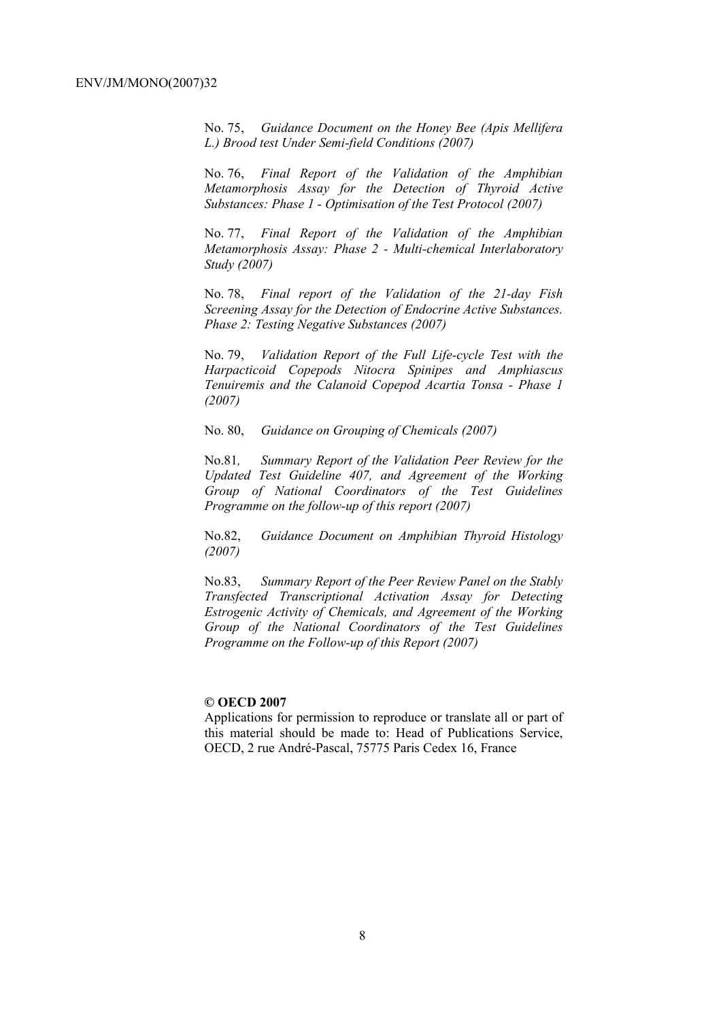No. 75, *Guidance Document on the Honey Bee (Apis Mellifera L.) Brood test Under Semi-field Conditions (2007)* 

No. 76, *Final Report of the Validation of the Amphibian Metamorphosis Assay for the Detection of Thyroid Active Substances: Phase 1 - Optimisation of the Test Protocol (2007)* 

No. 77, *Final Report of the Validation of the Amphibian Metamorphosis Assay: Phase 2 - Multi-chemical Interlaboratory Study (2007)* 

No. 78, *Final report of the Validation of the 21-day Fish Screening Assay for the Detection of Endocrine Active Substances. Phase 2: Testing Negative Substances (2007)* 

No. 79, *Validation Report of the Full Life-cycle Test with the Harpacticoid Copepods Nitocra Spinipes and Amphiascus Tenuiremis and the Calanoid Copepod Acartia Tonsa - Phase 1 (2007)* 

No. 80, *Guidance on Grouping of Chemicals (2007)* 

No.81*, Summary Report of the Validation Peer Review for the Updated Test Guideline 407, and Agreement of the Working Group of National Coordinators of the Test Guidelines Programme on the follow-up of this report (2007)* 

No.82, *Guidance Document on Amphibian Thyroid Histology (2007)* 

No.83, *Summary Report of the Peer Review Panel on the Stably Transfected Transcriptional Activation Assay for Detecting Estrogenic Activity of Chemicals, and Agreement of the Working Group of the National Coordinators of the Test Guidelines Programme on the Follow-up of this Report (2007)* 

#### **© OECD 2007**

Applications for permission to reproduce or translate all or part of this material should be made to: Head of Publications Service, OECD, 2 rue André-Pascal, 75775 Paris Cedex 16, France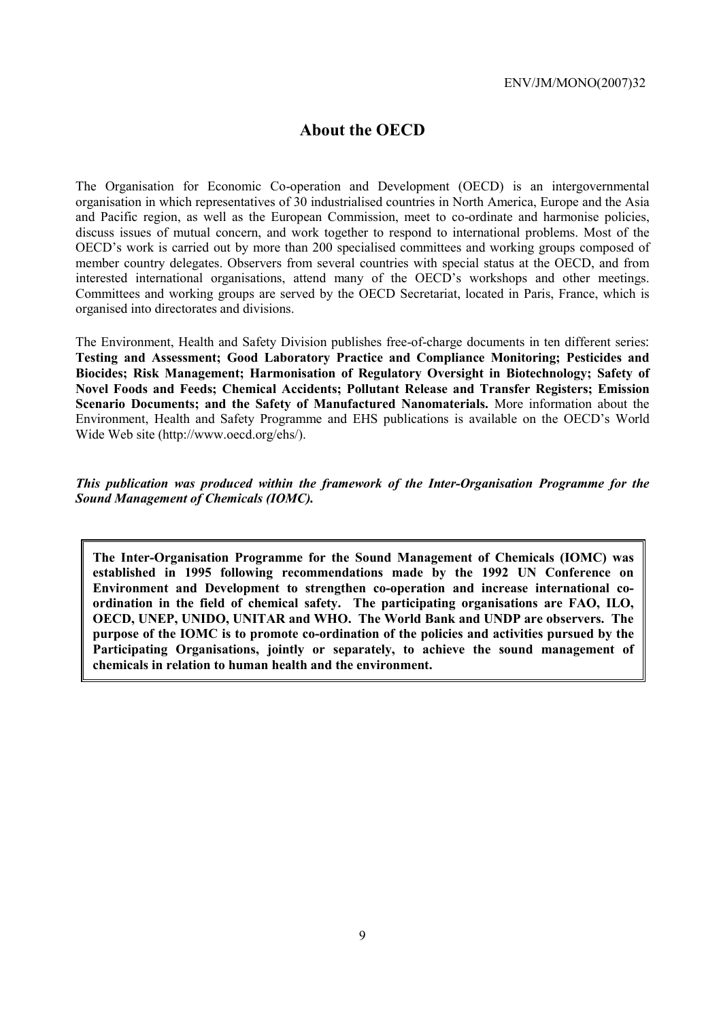# **About the OECD**

The Organisation for Economic Co-operation and Development (OECD) is an intergovernmental organisation in which representatives of 30 industrialised countries in North America, Europe and the Asia and Pacific region, as well as the European Commission, meet to co-ordinate and harmonise policies, discuss issues of mutual concern, and work together to respond to international problems. Most of the OECD's work is carried out by more than 200 specialised committees and working groups composed of member country delegates. Observers from several countries with special status at the OECD, and from interested international organisations, attend many of the OECD's workshops and other meetings. Committees and working groups are served by the OECD Secretariat, located in Paris, France, which is organised into directorates and divisions.

The Environment, Health and Safety Division publishes free-of-charge documents in ten different series: **Testing and Assessment; Good Laboratory Practice and Compliance Monitoring; Pesticides and Biocides; Risk Management; Harmonisation of Regulatory Oversight in Biotechnology; Safety of Novel Foods and Feeds; Chemical Accidents; Pollutant Release and Transfer Registers; Emission Scenario Documents; and the Safety of Manufactured Nanomaterials.** More information about the Environment, Health and Safety Programme and EHS publications is available on the OECD's World Wide Web site (http://www.oecd.org/ehs/).

*This publication was produced within the framework of the Inter-Organisation Programme for the Sound Management of Chemicals (IOMC).* 

**The Inter-Organisation Programme for the Sound Management of Chemicals (IOMC) was established in 1995 following recommendations made by the 1992 UN Conference on Environment and Development to strengthen co-operation and increase international coordination in the field of chemical safety. The participating organisations are FAO, ILO, OECD, UNEP, UNIDO, UNITAR and WHO. The World Bank and UNDP are observers. The purpose of the IOMC is to promote co-ordination of the policies and activities pursued by the Participating Organisations, jointly or separately, to achieve the sound management of chemicals in relation to human health and the environment.**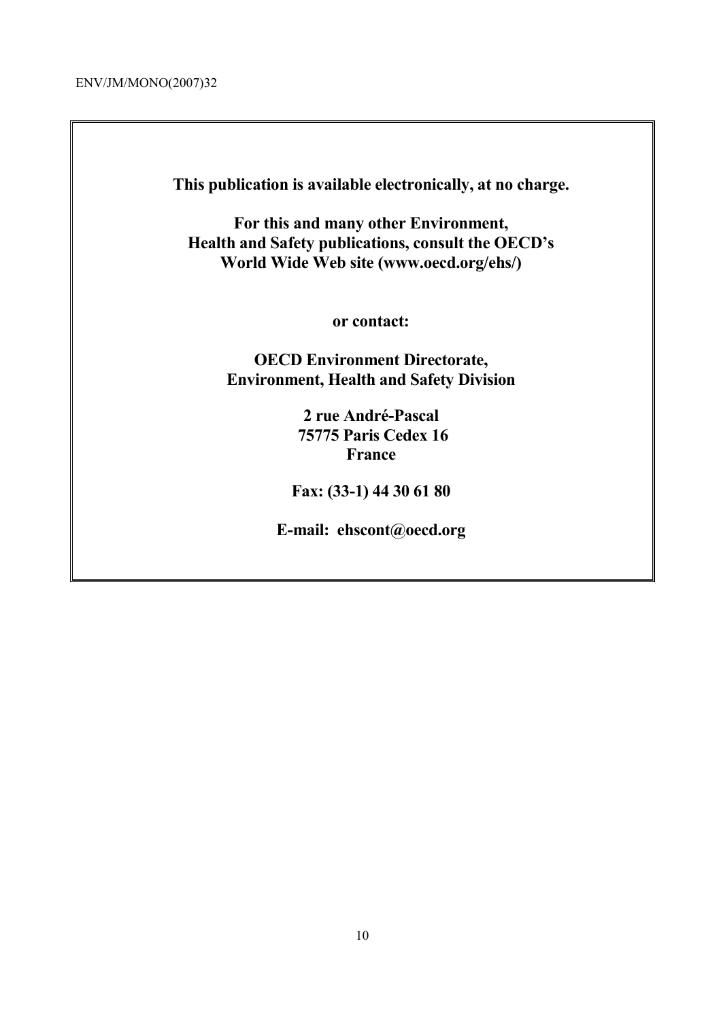**This publication is available electronically, at no charge.** 

**For this and many other Environment, Health and Safety publications, consult the OECD's World Wide Web site (www.oecd.org/ehs/)** 

**or contact:** 

**OECD Environment Directorate, Environment, Health and Safety Division**

> **2 rue André-Pascal 75775 Paris Cedex 16 France**

**Fax: (33-1) 44 30 61 80** 

**E-mail: ehscont@oecd.org**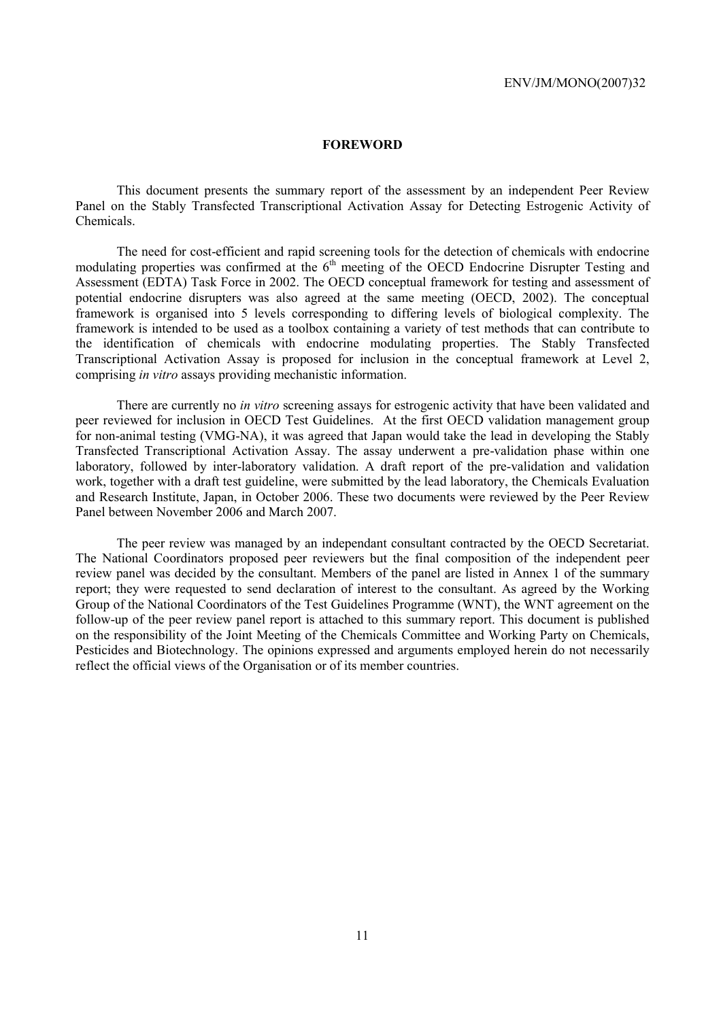#### **FOREWORD**

 This document presents the summary report of the assessment by an independent Peer Review Panel on the Stably Transfected Transcriptional Activation Assay for Detecting Estrogenic Activity of Chemicals.

 The need for cost-efficient and rapid screening tools for the detection of chemicals with endocrine modulating properties was confirmed at the  $6<sup>th</sup>$  meeting of the OECD Endocrine Disrupter Testing and Assessment (EDTA) Task Force in 2002. The OECD conceptual framework for testing and assessment of potential endocrine disrupters was also agreed at the same meeting (OECD, 2002). The conceptual framework is organised into 5 levels corresponding to differing levels of biological complexity. The framework is intended to be used as a toolbox containing a variety of test methods that can contribute to the identification of chemicals with endocrine modulating properties. The Stably Transfected Transcriptional Activation Assay is proposed for inclusion in the conceptual framework at Level 2, comprising *in vitro* assays providing mechanistic information.

 There are currently no *in vitro* screening assays for estrogenic activity that have been validated and peer reviewed for inclusion in OECD Test Guidelines. At the first OECD validation management group for non-animal testing (VMG-NA), it was agreed that Japan would take the lead in developing the Stably Transfected Transcriptional Activation Assay. The assay underwent a pre-validation phase within one laboratory, followed by inter-laboratory validation. A draft report of the pre-validation and validation work, together with a draft test guideline, were submitted by the lead laboratory, the Chemicals Evaluation and Research Institute, Japan, in October 2006. These two documents were reviewed by the Peer Review Panel between November 2006 and March 2007.

 The peer review was managed by an independant consultant contracted by the OECD Secretariat. The National Coordinators proposed peer reviewers but the final composition of the independent peer review panel was decided by the consultant. Members of the panel are listed in Annex 1 of the summary report; they were requested to send declaration of interest to the consultant. As agreed by the Working Group of the National Coordinators of the Test Guidelines Programme (WNT), the WNT agreement on the follow-up of the peer review panel report is attached to this summary report. This document is published on the responsibility of the Joint Meeting of the Chemicals Committee and Working Party on Chemicals, Pesticides and Biotechnology. The opinions expressed and arguments employed herein do not necessarily reflect the official views of the Organisation or of its member countries.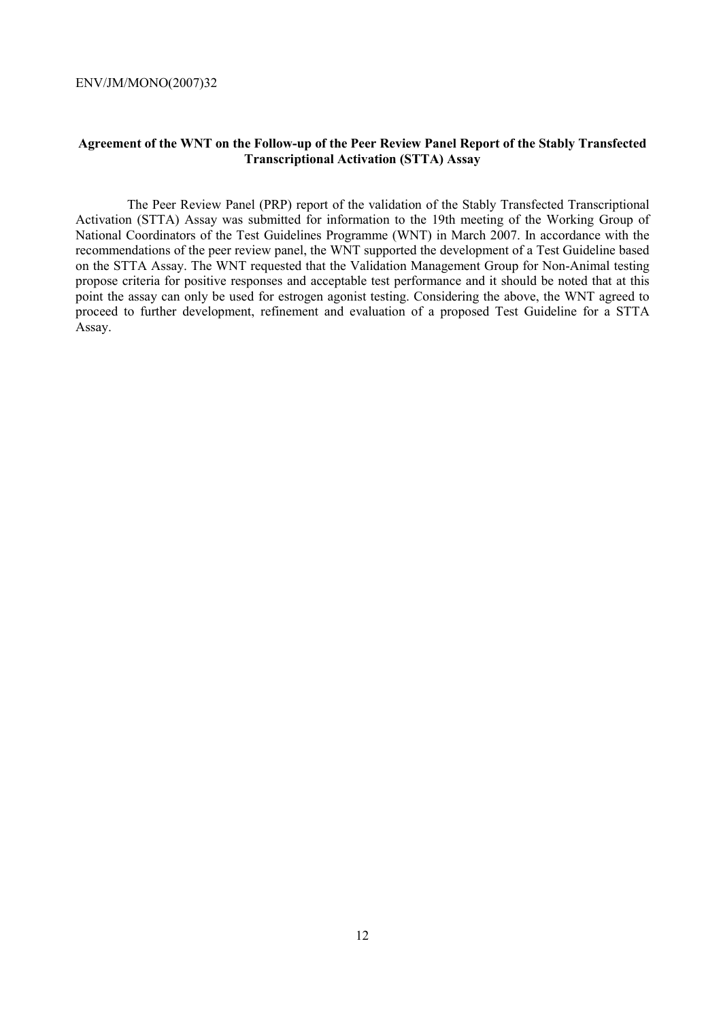# **Agreement of the WNT on the Follow-up of the Peer Review Panel Report of the Stably Transfected Transcriptional Activation (STTA) Assay**

 The Peer Review Panel (PRP) report of the validation of the Stably Transfected Transcriptional Activation (STTA) Assay was submitted for information to the 19th meeting of the Working Group of National Coordinators of the Test Guidelines Programme (WNT) in March 2007. In accordance with the recommendations of the peer review panel, the WNT supported the development of a Test Guideline based on the STTA Assay. The WNT requested that the Validation Management Group for Non-Animal testing propose criteria for positive responses and acceptable test performance and it should be noted that at this point the assay can only be used for estrogen agonist testing. Considering the above, the WNT agreed to proceed to further development, refinement and evaluation of a proposed Test Guideline for a STTA Assay.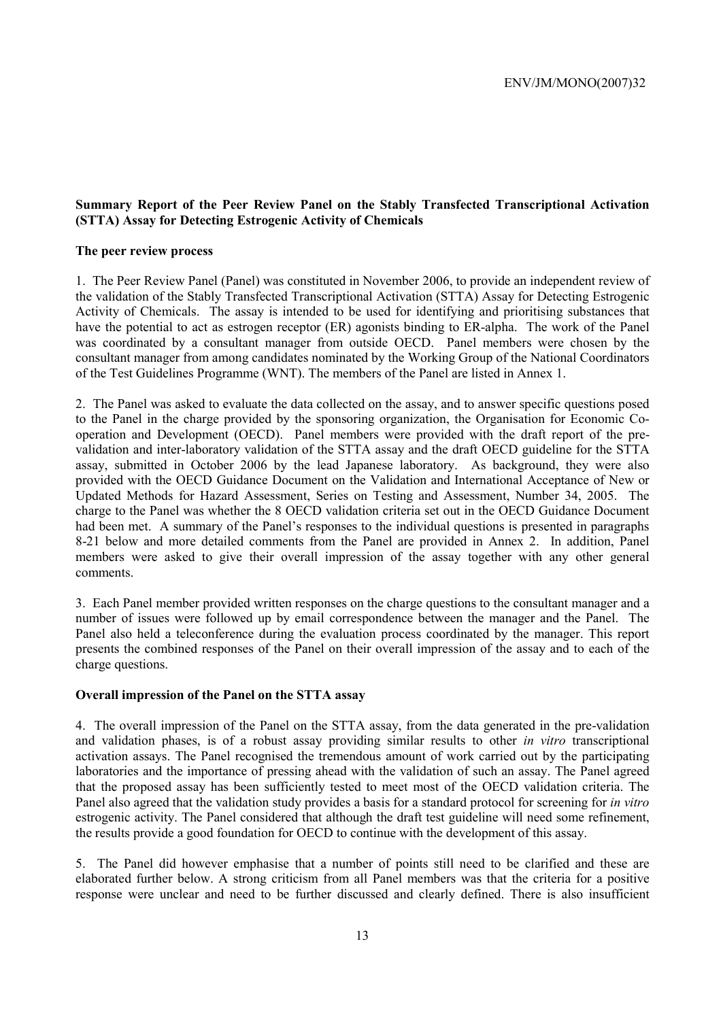# **Summary Report of the Peer Review Panel on the Stably Transfected Transcriptional Activation (STTA) Assay for Detecting Estrogenic Activity of Chemicals**

#### **The peer review process**

1. The Peer Review Panel (Panel) was constituted in November 2006, to provide an independent review of the validation of the Stably Transfected Transcriptional Activation (STTA) Assay for Detecting Estrogenic Activity of Chemicals. The assay is intended to be used for identifying and prioritising substances that have the potential to act as estrogen receptor (ER) agonists binding to ER-alpha. The work of the Panel was coordinated by a consultant manager from outside OECD. Panel members were chosen by the consultant manager from among candidates nominated by the Working Group of the National Coordinators of the Test Guidelines Programme (WNT). The members of the Panel are listed in Annex 1.

2. The Panel was asked to evaluate the data collected on the assay, and to answer specific questions posed to the Panel in the charge provided by the sponsoring organization, the Organisation for Economic Cooperation and Development (OECD). Panel members were provided with the draft report of the prevalidation and inter-laboratory validation of the STTA assay and the draft OECD guideline for the STTA assay, submitted in October 2006 by the lead Japanese laboratory. As background, they were also provided with the OECD Guidance Document on the Validation and International Acceptance of New or Updated Methods for Hazard Assessment, Series on Testing and Assessment, Number 34, 2005. The charge to the Panel was whether the 8 OECD validation criteria set out in the OECD Guidance Document had been met. A summary of the Panel's responses to the individual questions is presented in paragraphs 8-21 below and more detailed comments from the Panel are provided in Annex 2. In addition, Panel members were asked to give their overall impression of the assay together with any other general comments.

3. Each Panel member provided written responses on the charge questions to the consultant manager and a number of issues were followed up by email correspondence between the manager and the Panel. The Panel also held a teleconference during the evaluation process coordinated by the manager. This report presents the combined responses of the Panel on their overall impression of the assay and to each of the charge questions.

#### **Overall impression of the Panel on the STTA assay**

4. The overall impression of the Panel on the STTA assay, from the data generated in the pre-validation and validation phases, is of a robust assay providing similar results to other *in vitro* transcriptional activation assays. The Panel recognised the tremendous amount of work carried out by the participating laboratories and the importance of pressing ahead with the validation of such an assay. The Panel agreed that the proposed assay has been sufficiently tested to meet most of the OECD validation criteria. The Panel also agreed that the validation study provides a basis for a standard protocol for screening for *in vitro* estrogenic activity. The Panel considered that although the draft test guideline will need some refinement, the results provide a good foundation for OECD to continue with the development of this assay.

5. The Panel did however emphasise that a number of points still need to be clarified and these are elaborated further below. A strong criticism from all Panel members was that the criteria for a positive response were unclear and need to be further discussed and clearly defined. There is also insufficient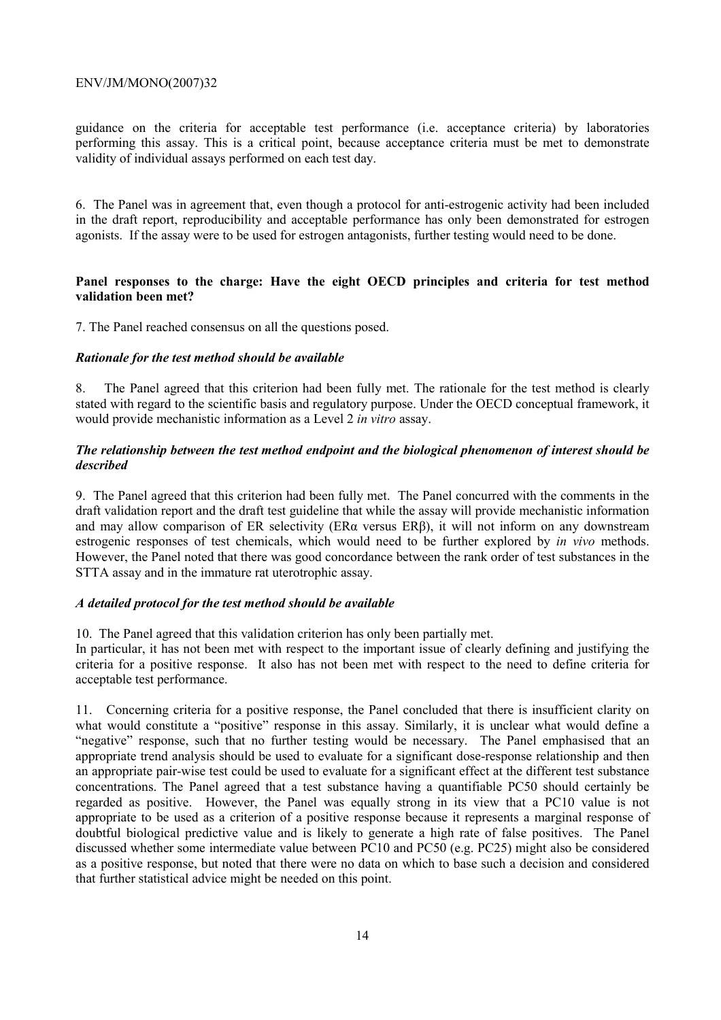guidance on the criteria for acceptable test performance (i.e. acceptance criteria) by laboratories performing this assay. This is a critical point, because acceptance criteria must be met to demonstrate validity of individual assays performed on each test day.

6. The Panel was in agreement that, even though a protocol for anti-estrogenic activity had been included in the draft report, reproducibility and acceptable performance has only been demonstrated for estrogen agonists. If the assay were to be used for estrogen antagonists, further testing would need to be done.

# **Panel responses to the charge: Have the eight OECD principles and criteria for test method validation been met?**

7. The Panel reached consensus on all the questions posed.

#### *Rationale for the test method should be available*

8. The Panel agreed that this criterion had been fully met. The rationale for the test method is clearly stated with regard to the scientific basis and regulatory purpose. Under the OECD conceptual framework, it would provide mechanistic information as a Level 2 *in vitro* assay.

# *The relationship between the test method endpoint and the biological phenomenon of interest should be described*

9. The Panel agreed that this criterion had been fully met. The Panel concurred with the comments in the draft validation report and the draft test guideline that while the assay will provide mechanistic information and may allow comparison of ER selectivity (ERα versus ERβ), it will not inform on any downstream estrogenic responses of test chemicals, which would need to be further explored by *in vivo* methods. However, the Panel noted that there was good concordance between the rank order of test substances in the STTA assay and in the immature rat uterotrophic assay.

# *A detailed protocol for the test method should be available*

10. The Panel agreed that this validation criterion has only been partially met.

In particular, it has not been met with respect to the important issue of clearly defining and justifying the criteria for a positive response. It also has not been met with respect to the need to define criteria for acceptable test performance.

11. Concerning criteria for a positive response, the Panel concluded that there is insufficient clarity on what would constitute a "positive" response in this assay. Similarly, it is unclear what would define a "negative" response, such that no further testing would be necessary. The Panel emphasised that an appropriate trend analysis should be used to evaluate for a significant dose-response relationship and then an appropriate pair-wise test could be used to evaluate for a significant effect at the different test substance concentrations. The Panel agreed that a test substance having a quantifiable PC50 should certainly be regarded as positive. However, the Panel was equally strong in its view that a PC10 value is not appropriate to be used as a criterion of a positive response because it represents a marginal response of doubtful biological predictive value and is likely to generate a high rate of false positives. The Panel discussed whether some intermediate value between PC10 and PC50 (e.g. PC25) might also be considered as a positive response, but noted that there were no data on which to base such a decision and considered that further statistical advice might be needed on this point.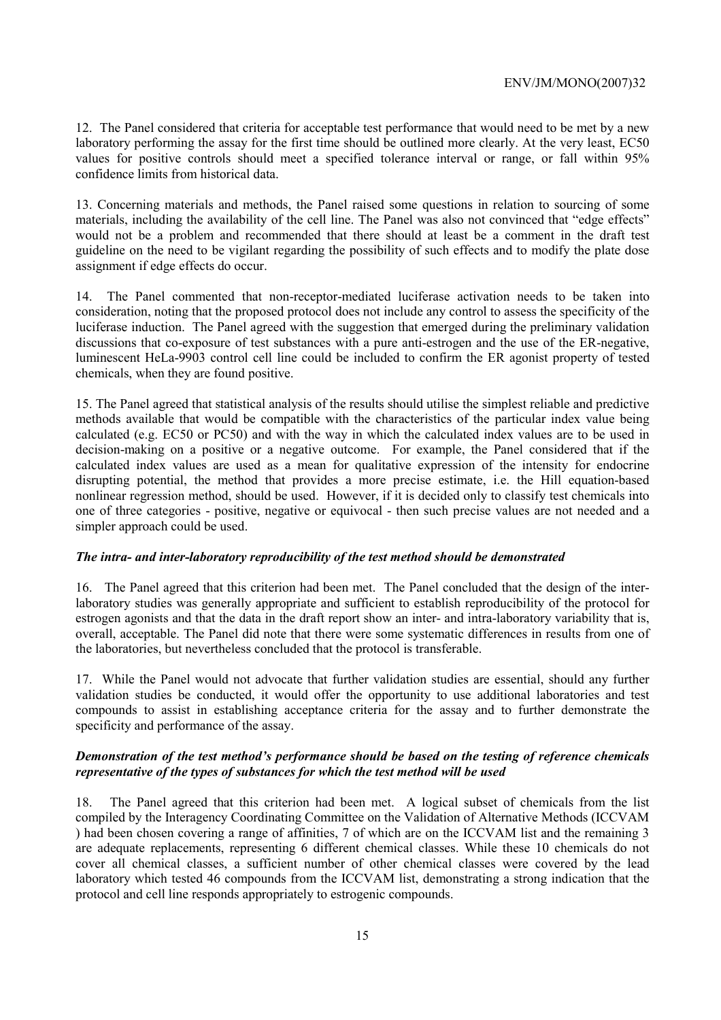12. The Panel considered that criteria for acceptable test performance that would need to be met by a new laboratory performing the assay for the first time should be outlined more clearly. At the very least, EC50 values for positive controls should meet a specified tolerance interval or range, or fall within 95% confidence limits from historical data.

13. Concerning materials and methods, the Panel raised some questions in relation to sourcing of some materials, including the availability of the cell line. The Panel was also not convinced that "edge effects" would not be a problem and recommended that there should at least be a comment in the draft test guideline on the need to be vigilant regarding the possibility of such effects and to modify the plate dose assignment if edge effects do occur.

14. The Panel commented that non-receptor-mediated luciferase activation needs to be taken into consideration, noting that the proposed protocol does not include any control to assess the specificity of the luciferase induction. The Panel agreed with the suggestion that emerged during the preliminary validation discussions that co-exposure of test substances with a pure anti-estrogen and the use of the ER-negative, luminescent HeLa-9903 control cell line could be included to confirm the ER agonist property of tested chemicals, when they are found positive.

15. The Panel agreed that statistical analysis of the results should utilise the simplest reliable and predictive methods available that would be compatible with the characteristics of the particular index value being calculated (e.g. EC50 or PC50) and with the way in which the calculated index values are to be used in decision-making on a positive or a negative outcome. For example, the Panel considered that if the calculated index values are used as a mean for qualitative expression of the intensity for endocrine disrupting potential, the method that provides a more precise estimate, i.e. the Hill equation-based nonlinear regression method, should be used. However, if it is decided only to classify test chemicals into one of three categories - positive, negative or equivocal - then such precise values are not needed and a simpler approach could be used.

# *The intra- and inter-laboratory reproducibility of the test method should be demonstrated*

16. The Panel agreed that this criterion had been met. The Panel concluded that the design of the interlaboratory studies was generally appropriate and sufficient to establish reproducibility of the protocol for estrogen agonists and that the data in the draft report show an inter- and intra-laboratory variability that is, overall, acceptable. The Panel did note that there were some systematic differences in results from one of the laboratories, but nevertheless concluded that the protocol is transferable.

17. While the Panel would not advocate that further validation studies are essential, should any further validation studies be conducted, it would offer the opportunity to use additional laboratories and test compounds to assist in establishing acceptance criteria for the assay and to further demonstrate the specificity and performance of the assay.

#### *Demonstration of the test method's performance should be based on the testing of reference chemicals representative of the types of substances for which the test method will be used*

18. The Panel agreed that this criterion had been met. A logical subset of chemicals from the list compiled by the Interagency Coordinating Committee on the Validation of Alternative Methods (ICCVAM ) had been chosen covering a range of affinities, 7 of which are on the ICCVAM list and the remaining 3 are adequate replacements, representing 6 different chemical classes. While these 10 chemicals do not cover all chemical classes, a sufficient number of other chemical classes were covered by the lead laboratory which tested 46 compounds from the ICCVAM list, demonstrating a strong indication that the protocol and cell line responds appropriately to estrogenic compounds.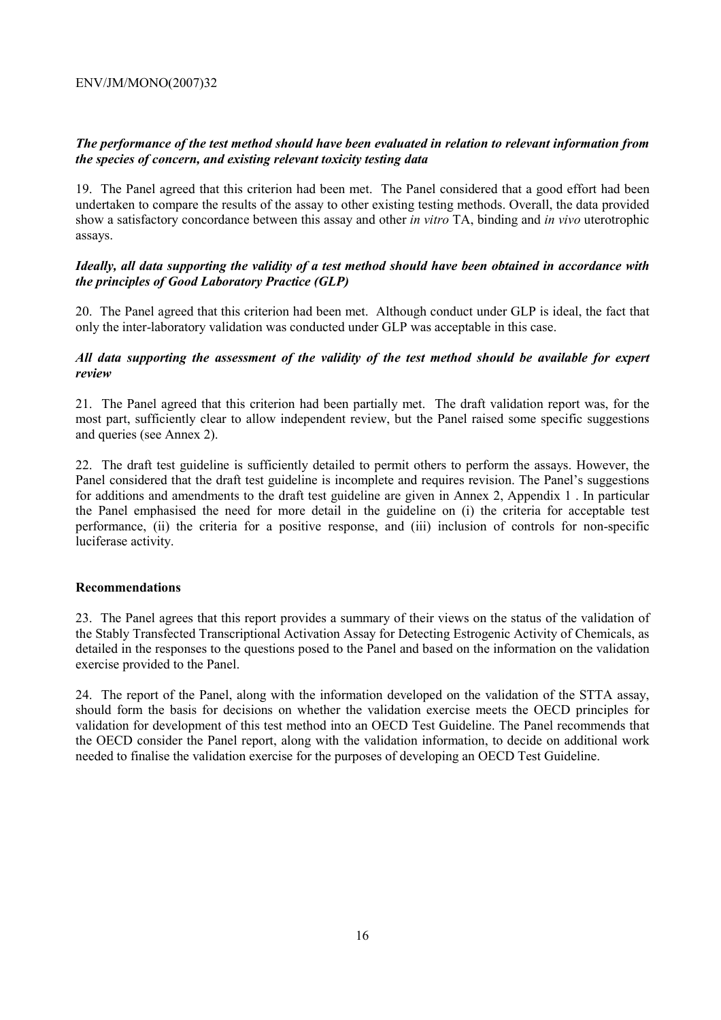# *The performance of the test method should have been evaluated in relation to relevant information from the species of concern, and existing relevant toxicity testing data*

19. The Panel agreed that this criterion had been met. The Panel considered that a good effort had been undertaken to compare the results of the assay to other existing testing methods. Overall, the data provided show a satisfactory concordance between this assay and other *in vitro* TA, binding and *in vivo* uterotrophic assays.

# *Ideally, all data supporting the validity of a test method should have been obtained in accordance with the principles of Good Laboratory Practice (GLP)*

20. The Panel agreed that this criterion had been met. Although conduct under GLP is ideal, the fact that only the inter-laboratory validation was conducted under GLP was acceptable in this case.

# *All data supporting the assessment of the validity of the test method should be available for expert review*

21. The Panel agreed that this criterion had been partially met. The draft validation report was, for the most part, sufficiently clear to allow independent review, but the Panel raised some specific suggestions and queries (see Annex 2).

22. The draft test guideline is sufficiently detailed to permit others to perform the assays. However, the Panel considered that the draft test guideline is incomplete and requires revision. The Panel's suggestions for additions and amendments to the draft test guideline are given in Annex 2, Appendix 1 . In particular the Panel emphasised the need for more detail in the guideline on (i) the criteria for acceptable test performance, (ii) the criteria for a positive response, and (iii) inclusion of controls for non-specific luciferase activity.

# **Recommendations**

23. The Panel agrees that this report provides a summary of their views on the status of the validation of the Stably Transfected Transcriptional Activation Assay for Detecting Estrogenic Activity of Chemicals, as detailed in the responses to the questions posed to the Panel and based on the information on the validation exercise provided to the Panel.

24. The report of the Panel, along with the information developed on the validation of the STTA assay, should form the basis for decisions on whether the validation exercise meets the OECD principles for validation for development of this test method into an OECD Test Guideline. The Panel recommends that the OECD consider the Panel report, along with the validation information, to decide on additional work needed to finalise the validation exercise for the purposes of developing an OECD Test Guideline.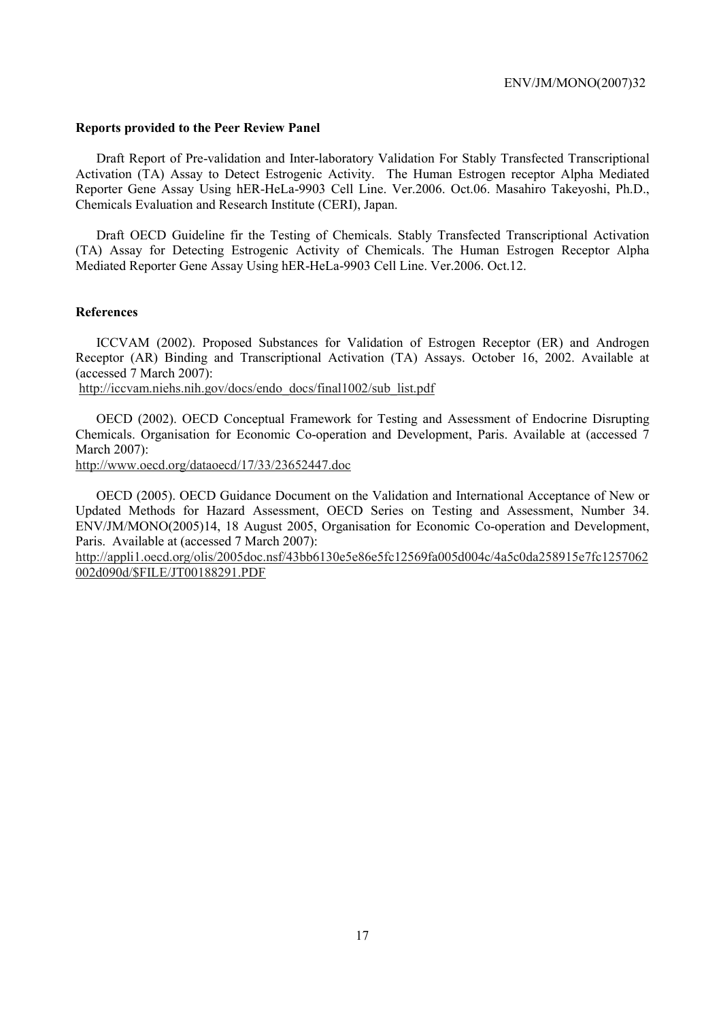#### **Reports provided to the Peer Review Panel**

 Draft Report of Pre-validation and Inter-laboratory Validation For Stably Transfected Transcriptional Activation (TA) Assay to Detect Estrogenic Activity. The Human Estrogen receptor Alpha Mediated Reporter Gene Assay Using hER-HeLa-9903 Cell Line. Ver.2006. Oct.06. Masahiro Takeyoshi, Ph.D., Chemicals Evaluation and Research Institute (CERI), Japan.

 Draft OECD Guideline fir the Testing of Chemicals. Stably Transfected Transcriptional Activation (TA) Assay for Detecting Estrogenic Activity of Chemicals. The Human Estrogen Receptor Alpha Mediated Reporter Gene Assay Using hER-HeLa-9903 Cell Line. Ver.2006. Oct.12.

#### **References**

 ICCVAM (2002). Proposed Substances for Validation of Estrogen Receptor (ER) and Androgen Receptor (AR) Binding and Transcriptional Activation (TA) Assays. October 16, 2002. Available at (accessed 7 March 2007):

http://iccvam.niehs.nih.gov/docs/endo\_docs/final1002/sub\_list.pdf

 OECD (2002). OECD Conceptual Framework for Testing and Assessment of Endocrine Disrupting Chemicals. Organisation for Economic Co-operation and Development, Paris. Available at (accessed 7 March 2007):

http://www.oecd.org/dataoecd/17/33/23652447.doc

 OECD (2005). OECD Guidance Document on the Validation and International Acceptance of New or Updated Methods for Hazard Assessment, OECD Series on Testing and Assessment, Number 34. ENV/JM/MONO(2005)14, 18 August 2005, Organisation for Economic Co-operation and Development, Paris. Available at (accessed 7 March 2007):

http://appli1.oecd.org/olis/2005doc.nsf/43bb6130e5e86e5fc12569fa005d004c/4a5c0da258915e7fc1257062 002d090d/\$FILE/JT00188291.PDF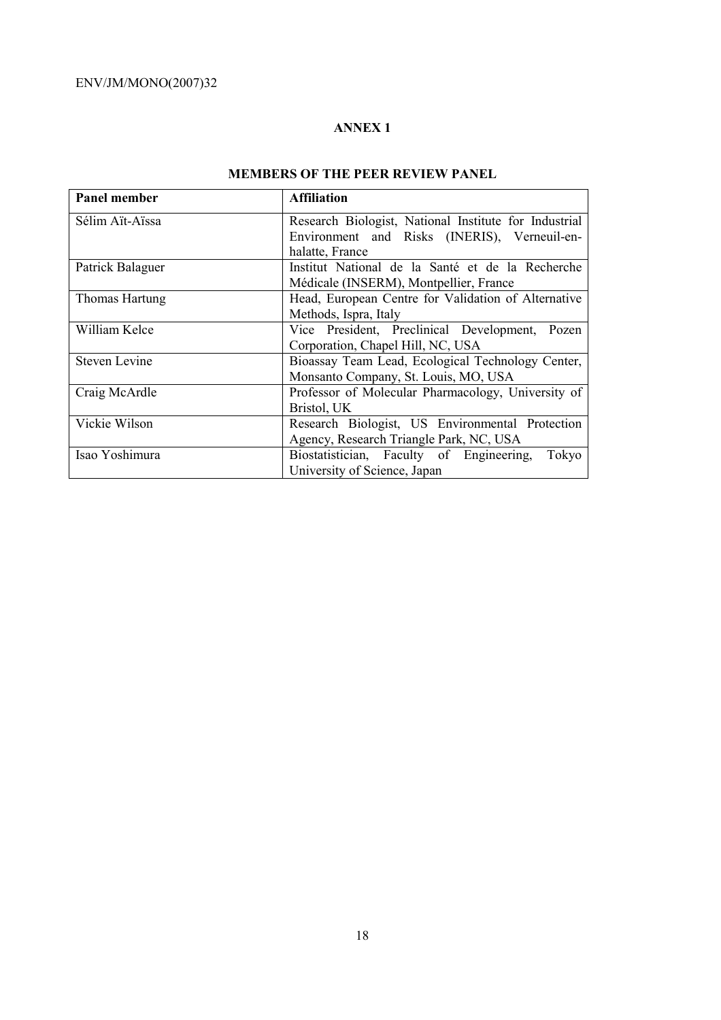# **ANNEX 1**

# **MEMBERS OF THE PEER REVIEW PANEL**

| Panel member         | <b>Affiliation</b>                                    |
|----------------------|-------------------------------------------------------|
| Sélim Aït-Aïssa      | Research Biologist, National Institute for Industrial |
|                      | Environment and Risks (INERIS), Verneuil-en-          |
|                      | halatte, France                                       |
| Patrick Balaguer     | Institut National de la Santé et de la Recherche      |
|                      | Médicale (INSERM), Montpellier, France                |
| Thomas Hartung       | Head, European Centre for Validation of Alternative   |
|                      | Methods, Ispra, Italy                                 |
| William Kelce        | Vice President, Preclinical Development, Pozen        |
|                      | Corporation, Chapel Hill, NC, USA                     |
| <b>Steven Levine</b> | Bioassay Team Lead, Ecological Technology Center,     |
|                      | Monsanto Company, St. Louis, MO, USA                  |
| Craig McArdle        | Professor of Molecular Pharmacology, University of    |
|                      | Bristol, UK                                           |
| Vickie Wilson        | Research Biologist, US Environmental Protection       |
|                      | Agency, Research Triangle Park, NC, USA               |
| Isao Yoshimura       | Biostatistician, Faculty of Engineering,<br>Tokyo     |
|                      | University of Science, Japan                          |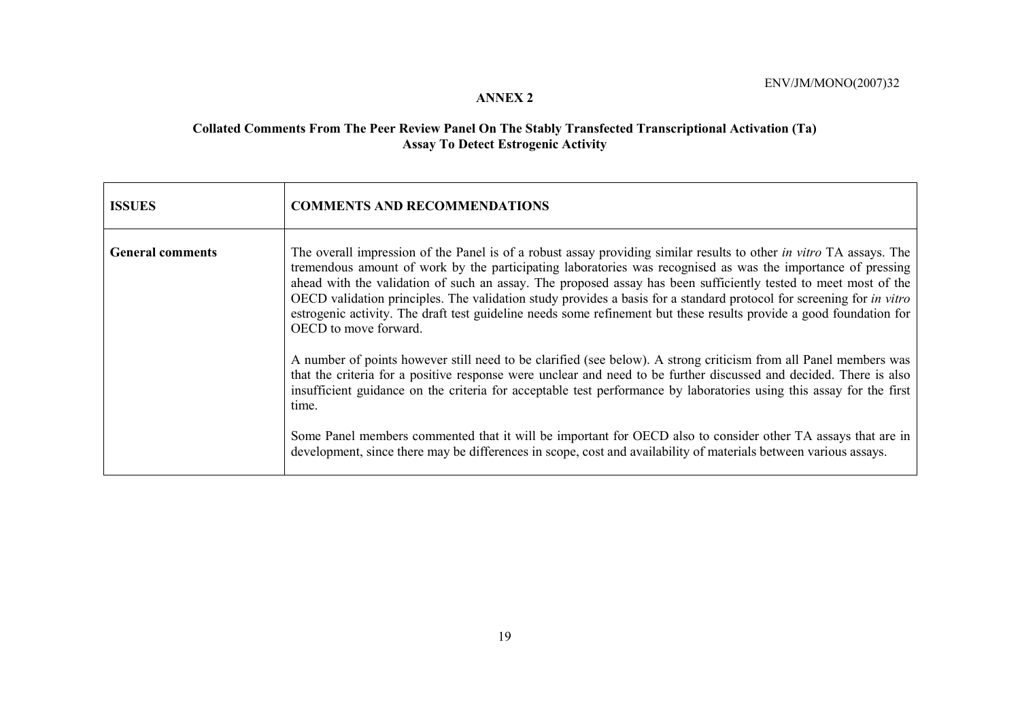#### **ANNEX 2**

#### **Collated Comments From The Peer Review Panel On The Stably Transfected Transcriptional Activation (Ta) Assay To Detect Estrogenic Activity**

| <b>ISSUES</b>           | <b>COMMENTS AND RECOMMENDATIONS</b>                                                                                                                                                                                                                                                                                                                                                                                                                                                                                                                                                                                                   |
|-------------------------|---------------------------------------------------------------------------------------------------------------------------------------------------------------------------------------------------------------------------------------------------------------------------------------------------------------------------------------------------------------------------------------------------------------------------------------------------------------------------------------------------------------------------------------------------------------------------------------------------------------------------------------|
| <b>General comments</b> | The overall impression of the Panel is of a robust assay providing similar results to other in vitro TA assays. The<br>tremendous amount of work by the participating laboratories was recognised as was the importance of pressing<br>ahead with the validation of such an assay. The proposed assay has been sufficiently tested to meet most of the<br>OECD validation principles. The validation study provides a basis for a standard protocol for screening for <i>in vitro</i><br>estrogenic activity. The draft test guideline needs some refinement but these results provide a good foundation for<br>OECD to move forward. |
|                         | A number of points however still need to be clarified (see below). A strong criticism from all Panel members was<br>that the criteria for a positive response were unclear and need to be further discussed and decided. There is also<br>insufficient guidance on the criteria for acceptable test performance by laboratories using this assay for the first<br>time.                                                                                                                                                                                                                                                               |
|                         | Some Panel members commented that it will be important for OECD also to consider other TA assays that are in<br>development, since there may be differences in scope, cost and availability of materials between various assays.                                                                                                                                                                                                                                                                                                                                                                                                      |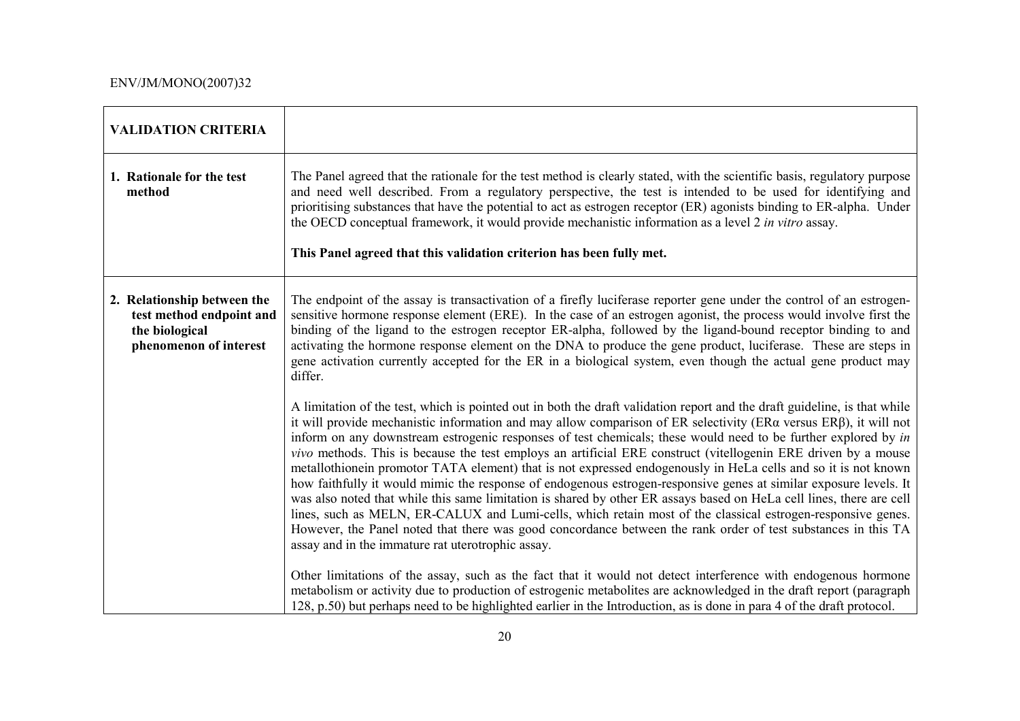| <b>VALIDATION CRITERIA</b>                                                                          |                                                                                                                                                                                                                                                                                                                                                                                                                                                                                                                                                                                                                                                                                                                                                                                                                                                                                                                                                                                                                                                                                                                                                                                                                                                                                                                                                                                                      |
|-----------------------------------------------------------------------------------------------------|------------------------------------------------------------------------------------------------------------------------------------------------------------------------------------------------------------------------------------------------------------------------------------------------------------------------------------------------------------------------------------------------------------------------------------------------------------------------------------------------------------------------------------------------------------------------------------------------------------------------------------------------------------------------------------------------------------------------------------------------------------------------------------------------------------------------------------------------------------------------------------------------------------------------------------------------------------------------------------------------------------------------------------------------------------------------------------------------------------------------------------------------------------------------------------------------------------------------------------------------------------------------------------------------------------------------------------------------------------------------------------------------------|
| 1. Rationale for the test<br>method                                                                 | The Panel agreed that the rationale for the test method is clearly stated, with the scientific basis, regulatory purpose<br>and need well described. From a regulatory perspective, the test is intended to be used for identifying and<br>prioritising substances that have the potential to act as estrogen receptor (ER) agonists binding to ER-alpha. Under<br>the OECD conceptual framework, it would provide mechanistic information as a level 2 in vitro assay.<br>This Panel agreed that this validation criterion has been fully met.                                                                                                                                                                                                                                                                                                                                                                                                                                                                                                                                                                                                                                                                                                                                                                                                                                                      |
| 2. Relationship between the<br>test method endpoint and<br>the biological<br>phenomenon of interest | The endpoint of the assay is transactivation of a firefly luciferase reporter gene under the control of an estrogen-<br>sensitive hormone response element (ERE). In the case of an estrogen agonist, the process would involve first the<br>binding of the ligand to the estrogen receptor ER-alpha, followed by the ligand-bound receptor binding to and<br>activating the hormone response element on the DNA to produce the gene product, luciferase. These are steps in<br>gene activation currently accepted for the ER in a biological system, even though the actual gene product may<br>differ.                                                                                                                                                                                                                                                                                                                                                                                                                                                                                                                                                                                                                                                                                                                                                                                             |
|                                                                                                     | A limitation of the test, which is pointed out in both the draft validation report and the draft guideline, is that while<br>it will provide mechanistic information and may allow comparison of ER selectivity (ER $\alpha$ versus ER $\beta$ ), it will not<br>inform on any downstream estrogenic responses of test chemicals; these would need to be further explored by in<br><i>vivo</i> methods. This is because the test employs an artificial ERE construct (vitellogenin ERE driven by a mouse<br>metallothionein promotor TATA element) that is not expressed endogenously in HeLa cells and so it is not known<br>how faithfully it would mimic the response of endogenous estrogen-responsive genes at similar exposure levels. It<br>was also noted that while this same limitation is shared by other ER assays based on HeLa cell lines, there are cell<br>lines, such as MELN, ER-CALUX and Lumi-cells, which retain most of the classical estrogen-responsive genes.<br>However, the Panel noted that there was good concordance between the rank order of test substances in this TA<br>assay and in the immature rat uterotrophic assay.<br>Other limitations of the assay, such as the fact that it would not detect interference with endogenous hormone<br>metabolism or activity due to production of estrogenic metabolites are acknowledged in the draft report (paragraph |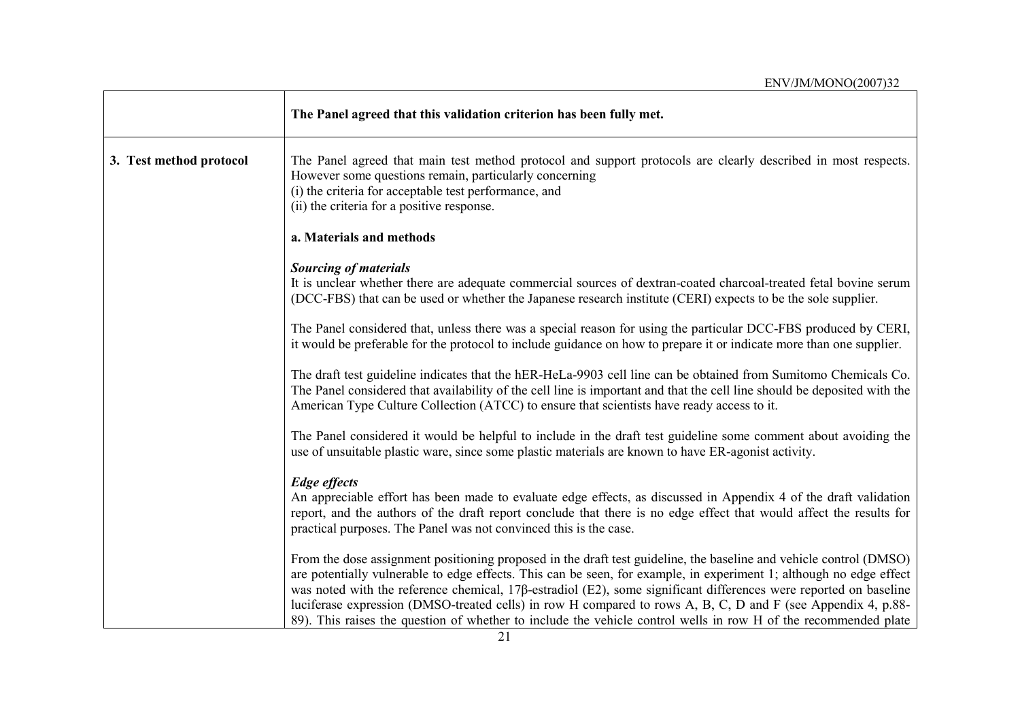|                         | The Panel agreed that this validation criterion has been fully met.                                                                                                                                                                                                                                                                                                                                                                                                                                                                                                                                      |
|-------------------------|----------------------------------------------------------------------------------------------------------------------------------------------------------------------------------------------------------------------------------------------------------------------------------------------------------------------------------------------------------------------------------------------------------------------------------------------------------------------------------------------------------------------------------------------------------------------------------------------------------|
| 3. Test method protocol | The Panel agreed that main test method protocol and support protocols are clearly described in most respects.<br>However some questions remain, particularly concerning<br>(i) the criteria for acceptable test performance, and<br>(ii) the criteria for a positive response.                                                                                                                                                                                                                                                                                                                           |
|                         | a. Materials and methods                                                                                                                                                                                                                                                                                                                                                                                                                                                                                                                                                                                 |
|                         | <b>Sourcing of materials</b><br>It is unclear whether there are adequate commercial sources of dextran-coated charcoal-treated fetal bovine serum<br>(DCC-FBS) that can be used or whether the Japanese research institute (CERI) expects to be the sole supplier.                                                                                                                                                                                                                                                                                                                                       |
|                         | The Panel considered that, unless there was a special reason for using the particular DCC-FBS produced by CERI,<br>it would be preferable for the protocol to include guidance on how to prepare it or indicate more than one supplier.                                                                                                                                                                                                                                                                                                                                                                  |
|                         | The draft test guideline indicates that the hER-HeLa-9903 cell line can be obtained from Sumitomo Chemicals Co.<br>The Panel considered that availability of the cell line is important and that the cell line should be deposited with the<br>American Type Culture Collection (ATCC) to ensure that scientists have ready access to it.                                                                                                                                                                                                                                                                |
|                         | The Panel considered it would be helpful to include in the draft test guideline some comment about avoiding the<br>use of unsuitable plastic ware, since some plastic materials are known to have ER-agonist activity.                                                                                                                                                                                                                                                                                                                                                                                   |
|                         | <b>Edge</b> effects<br>An appreciable effort has been made to evaluate edge effects, as discussed in Appendix 4 of the draft validation<br>report, and the authors of the draft report conclude that there is no edge effect that would affect the results for<br>practical purposes. The Panel was not convinced this is the case.                                                                                                                                                                                                                                                                      |
|                         | From the dose assignment positioning proposed in the draft test guideline, the baseline and vehicle control (DMSO)<br>are potentially vulnerable to edge effects. This can be seen, for example, in experiment 1; although no edge effect<br>was noted with the reference chemical, $17\beta$ -estradiol (E2), some significant differences were reported on baseline<br>luciferase expression (DMSO-treated cells) in row H compared to rows A, B, C, D and F (see Appendix 4, p.88-<br>89). This raises the question of whether to include the vehicle control wells in row H of the recommended plate |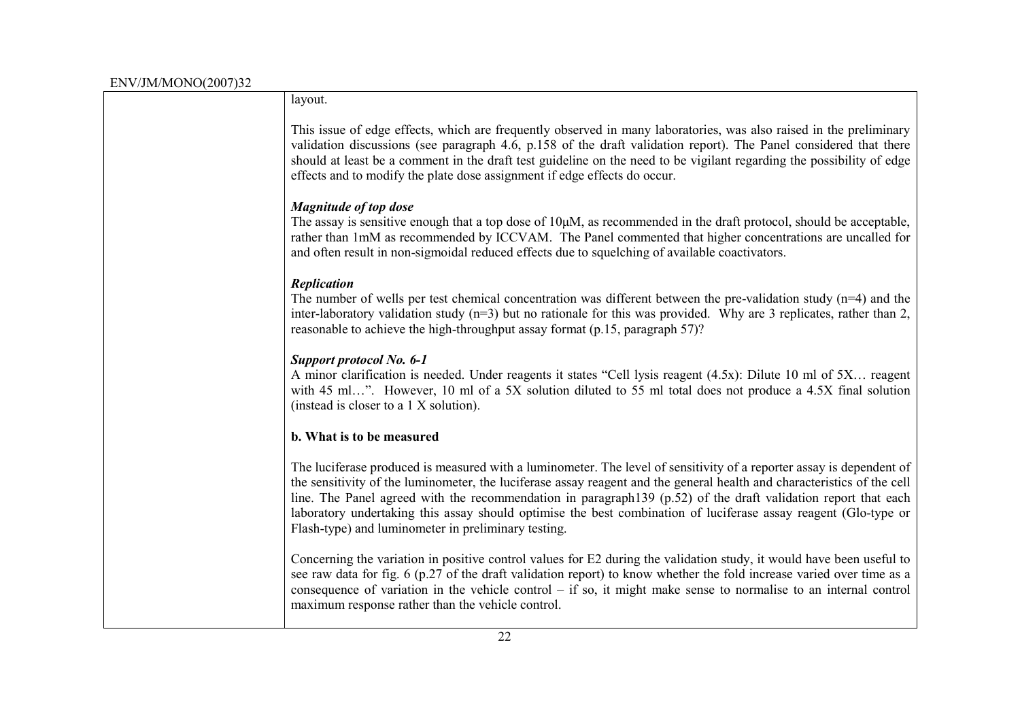| layout.                                                                                                                                                                                                                                                                                                                                                                                                                                                                                                                                     |
|---------------------------------------------------------------------------------------------------------------------------------------------------------------------------------------------------------------------------------------------------------------------------------------------------------------------------------------------------------------------------------------------------------------------------------------------------------------------------------------------------------------------------------------------|
| This issue of edge effects, which are frequently observed in many laboratories, was also raised in the preliminary<br>validation discussions (see paragraph 4.6, p.158 of the draft validation report). The Panel considered that there<br>should at least be a comment in the draft test guideline on the need to be vigilant regarding the possibility of edge<br>effects and to modify the plate dose assignment if edge effects do occur.                                                                                               |
| <b>Magnitude of top dose</b><br>The assay is sensitive enough that a top dose of $10\mu$ M, as recommended in the draft protocol, should be acceptable,<br>rather than 1mM as recommended by ICCVAM. The Panel commented that higher concentrations are uncalled for<br>and often result in non-sigmoidal reduced effects due to squelching of available coactivators.                                                                                                                                                                      |
|                                                                                                                                                                                                                                                                                                                                                                                                                                                                                                                                             |
| Replication<br>The number of wells per test chemical concentration was different between the pre-validation study $(n=4)$ and the<br>inter-laboratory validation study $(n=3)$ but no rationale for this was provided. Why are 3 replicates, rather than 2,<br>reasonable to achieve the high-throughput assay format (p.15, paragraph 57)?                                                                                                                                                                                                 |
| Support protocol No. 6-1<br>A minor clarification is needed. Under reagents it states "Cell lysis reagent (4.5x): Dilute 10 ml of 5X reagent<br>with 45 ml". However, 10 ml of a 5X solution diluted to 55 ml total does not produce a 4.5X final solution<br>(instead is closer to a 1 X solution).                                                                                                                                                                                                                                        |
| b. What is to be measured                                                                                                                                                                                                                                                                                                                                                                                                                                                                                                                   |
| The luciferase produced is measured with a luminometer. The level of sensitivity of a reporter assay is dependent of<br>the sensitivity of the luminometer, the luciferase assay reagent and the general health and characteristics of the cell<br>line. The Panel agreed with the recommendation in paragraph139 (p.52) of the draft validation report that each<br>laboratory undertaking this assay should optimise the best combination of luciferase assay reagent (Glo-type or<br>Flash-type) and luminometer in preliminary testing. |
| Concerning the variation in positive control values for E2 during the validation study, it would have been useful to<br>see raw data for fig. 6 (p.27 of the draft validation report) to know whether the fold increase varied over time as a<br>consequence of variation in the vehicle control $-$ if so, it might make sense to normalise to an internal control<br>maximum response rather than the vehicle control.                                                                                                                    |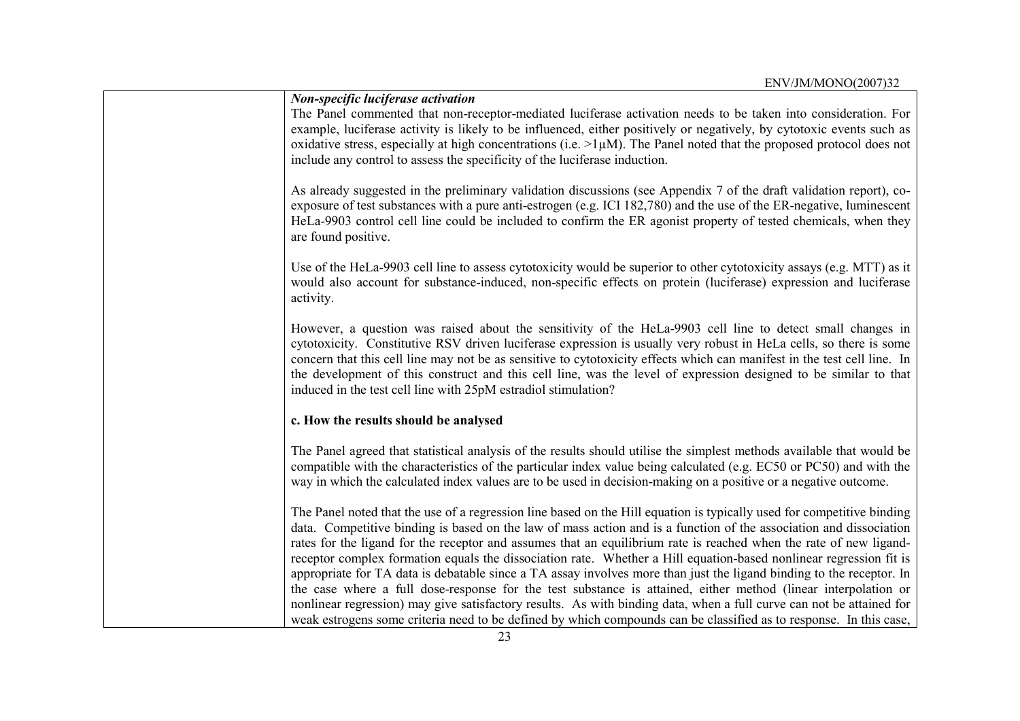| <b>Non-specific luciferase activation</b>                                                                                                                                                                                                                                                                                                                                                                                                                                                                                                                                                                                                                                                                                                                                                                                                                  |
|------------------------------------------------------------------------------------------------------------------------------------------------------------------------------------------------------------------------------------------------------------------------------------------------------------------------------------------------------------------------------------------------------------------------------------------------------------------------------------------------------------------------------------------------------------------------------------------------------------------------------------------------------------------------------------------------------------------------------------------------------------------------------------------------------------------------------------------------------------|
| The Panel commented that non-receptor-mediated luciferase activation needs to be taken into consideration. For<br>example, luciferase activity is likely to be influenced, either positively or negatively, by cytotoxic events such as<br>oxidative stress, especially at high concentrations (i.e. $>1\mu M$ ). The Panel noted that the proposed protocol does not<br>include any control to assess the specificity of the luciferase induction.                                                                                                                                                                                                                                                                                                                                                                                                        |
| As already suggested in the preliminary validation discussions (see Appendix 7 of the draft validation report), co-<br>exposure of test substances with a pure anti-estrogen (e.g. ICI 182,780) and the use of the ER-negative, luminescent<br>HeLa-9903 control cell line could be included to confirm the ER agonist property of tested chemicals, when they<br>are found positive.                                                                                                                                                                                                                                                                                                                                                                                                                                                                      |
| Use of the HeLa-9903 cell line to assess cytotoxicity would be superior to other cytotoxicity assays (e.g. MTT) as it<br>would also account for substance-induced, non-specific effects on protein (luciferase) expression and luciferase<br>activity.                                                                                                                                                                                                                                                                                                                                                                                                                                                                                                                                                                                                     |
| However, a question was raised about the sensitivity of the HeLa-9903 cell line to detect small changes in<br>cytotoxicity. Constitutive RSV driven luciferase expression is usually very robust in HeLa cells, so there is some<br>concern that this cell line may not be as sensitive to cytotoxicity effects which can manifest in the test cell line. In<br>the development of this construct and this cell line, was the level of expression designed to be similar to that<br>induced in the test cell line with 25pM estradiol stimulation?                                                                                                                                                                                                                                                                                                         |
| c. How the results should be analysed                                                                                                                                                                                                                                                                                                                                                                                                                                                                                                                                                                                                                                                                                                                                                                                                                      |
| The Panel agreed that statistical analysis of the results should utilise the simplest methods available that would be<br>compatible with the characteristics of the particular index value being calculated (e.g. EC50 or PC50) and with the<br>way in which the calculated index values are to be used in decision-making on a positive or a negative outcome.                                                                                                                                                                                                                                                                                                                                                                                                                                                                                            |
| The Panel noted that the use of a regression line based on the Hill equation is typically used for competitive binding<br>data. Competitive binding is based on the law of mass action and is a function of the association and dissociation<br>rates for the ligand for the receptor and assumes that an equilibrium rate is reached when the rate of new ligand-<br>receptor complex formation equals the dissociation rate. Whether a Hill equation-based nonlinear regression fit is<br>appropriate for TA data is debatable since a TA assay involves more than just the ligand binding to the receptor. In<br>the case where a full dose-response for the test substance is attained, either method (linear interpolation or<br>nonlinear regression) may give satisfactory results. As with binding data, when a full curve can not be attained for |
| weak estrogens some criteria need to be defined by which compounds can be classified as to response. In this case,                                                                                                                                                                                                                                                                                                                                                                                                                                                                                                                                                                                                                                                                                                                                         |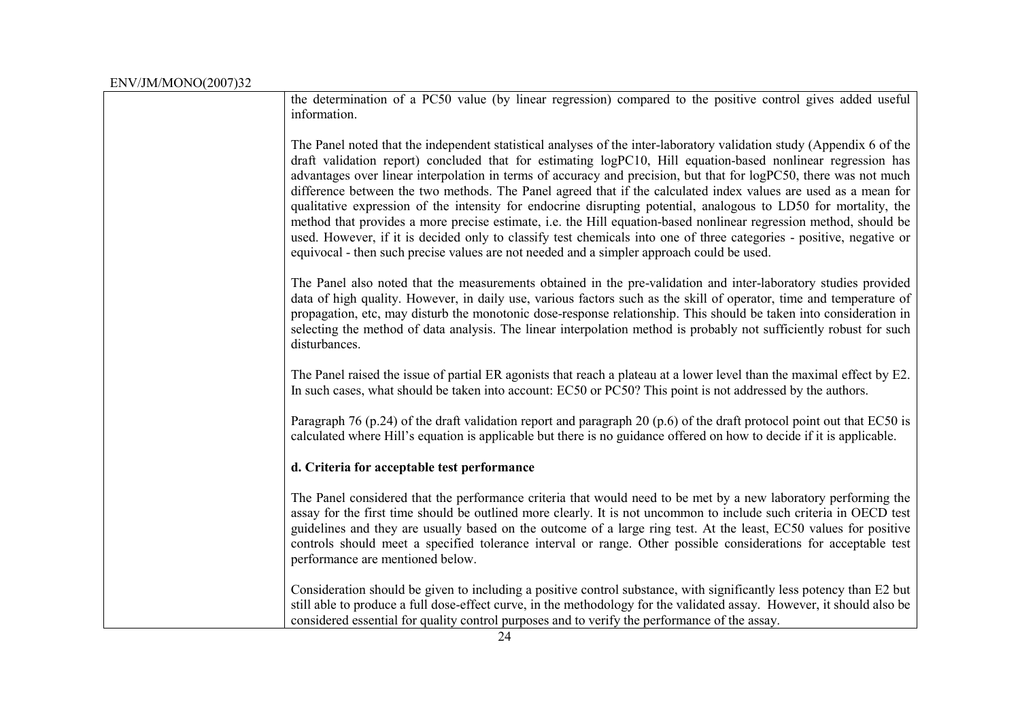| the determination of a PC50 value (by linear regression) compared to the positive control gives added useful<br>information.                                                                                                                                                                                                                                                                                                                                                                                                                                                                                                                                                                                                                                                                                                                                                                                                                |
|---------------------------------------------------------------------------------------------------------------------------------------------------------------------------------------------------------------------------------------------------------------------------------------------------------------------------------------------------------------------------------------------------------------------------------------------------------------------------------------------------------------------------------------------------------------------------------------------------------------------------------------------------------------------------------------------------------------------------------------------------------------------------------------------------------------------------------------------------------------------------------------------------------------------------------------------|
| The Panel noted that the independent statistical analyses of the inter-laboratory validation study (Appendix 6 of the<br>draft validation report) concluded that for estimating logPC10, Hill equation-based nonlinear regression has<br>advantages over linear interpolation in terms of accuracy and precision, but that for logPC50, there was not much<br>difference between the two methods. The Panel agreed that if the calculated index values are used as a mean for<br>qualitative expression of the intensity for endocrine disrupting potential, analogous to LD50 for mortality, the<br>method that provides a more precise estimate, i.e. the Hill equation-based nonlinear regression method, should be<br>used. However, if it is decided only to classify test chemicals into one of three categories - positive, negative or<br>equivocal - then such precise values are not needed and a simpler approach could be used. |
| The Panel also noted that the measurements obtained in the pre-validation and inter-laboratory studies provided<br>data of high quality. However, in daily use, various factors such as the skill of operator, time and temperature of<br>propagation, etc, may disturb the monotonic dose-response relationship. This should be taken into consideration in<br>selecting the method of data analysis. The linear interpolation method is probably not sufficiently robust for such<br>disturbances.                                                                                                                                                                                                                                                                                                                                                                                                                                        |
| The Panel raised the issue of partial ER agonists that reach a plateau at a lower level than the maximal effect by E2.<br>In such cases, what should be taken into account: EC50 or PC50? This point is not addressed by the authors.                                                                                                                                                                                                                                                                                                                                                                                                                                                                                                                                                                                                                                                                                                       |
| Paragraph 76 (p.24) of the draft validation report and paragraph 20 (p.6) of the draft protocol point out that EC50 is<br>calculated where Hill's equation is applicable but there is no guidance offered on how to decide if it is applicable.                                                                                                                                                                                                                                                                                                                                                                                                                                                                                                                                                                                                                                                                                             |
| d. Criteria for acceptable test performance                                                                                                                                                                                                                                                                                                                                                                                                                                                                                                                                                                                                                                                                                                                                                                                                                                                                                                 |
| The Panel considered that the performance criteria that would need to be met by a new laboratory performing the<br>assay for the first time should be outlined more clearly. It is not uncommon to include such criteria in OECD test<br>guidelines and they are usually based on the outcome of a large ring test. At the least, EC50 values for positive<br>controls should meet a specified tolerance interval or range. Other possible considerations for acceptable test<br>performance are mentioned below.                                                                                                                                                                                                                                                                                                                                                                                                                           |
| Consideration should be given to including a positive control substance, with significantly less potency than E2 but<br>still able to produce a full dose-effect curve, in the methodology for the validated assay. However, it should also be<br>considered essential for quality control purposes and to verify the performance of the assay.                                                                                                                                                                                                                                                                                                                                                                                                                                                                                                                                                                                             |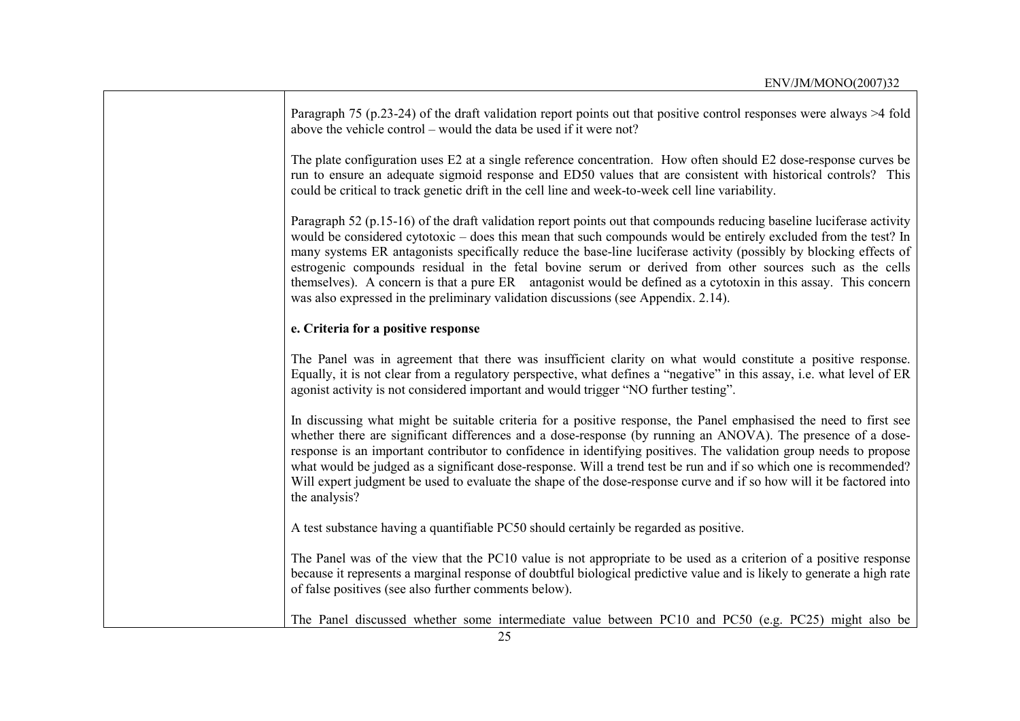| Paragraph 75 (p.23-24) of the draft validation report points out that positive control responses were always $>4$ fold<br>above the vehicle control – would the data be used if it were not?                                                                                                                                                                                                                                                                                                                                                                                                                                                                                       |
|------------------------------------------------------------------------------------------------------------------------------------------------------------------------------------------------------------------------------------------------------------------------------------------------------------------------------------------------------------------------------------------------------------------------------------------------------------------------------------------------------------------------------------------------------------------------------------------------------------------------------------------------------------------------------------|
| The plate configuration uses E2 at a single reference concentration. How often should E2 dose-response curves be<br>run to ensure an adequate sigmoid response and ED50 values that are consistent with historical controls? This<br>could be critical to track genetic drift in the cell line and week-to-week cell line variability.                                                                                                                                                                                                                                                                                                                                             |
| Paragraph 52 (p.15-16) of the draft validation report points out that compounds reducing baseline luciferase activity<br>would be considered cytotoxic – does this mean that such compounds would be entirely excluded from the test? In<br>many systems ER antagonists specifically reduce the base-line luciferase activity (possibly by blocking effects of<br>estrogenic compounds residual in the fetal bovine serum or derived from other sources such as the cells<br>themselves). A concern is that a pure ER antagonist would be defined as a cytotoxin in this assay. This concern<br>was also expressed in the preliminary validation discussions (see Appendix. 2.14). |
| e. Criteria for a positive response                                                                                                                                                                                                                                                                                                                                                                                                                                                                                                                                                                                                                                                |
| The Panel was in agreement that there was insufficient clarity on what would constitute a positive response.<br>Equally, it is not clear from a regulatory perspective, what defines a "negative" in this assay, i.e. what level of ER<br>agonist activity is not considered important and would trigger "NO further testing".                                                                                                                                                                                                                                                                                                                                                     |
| In discussing what might be suitable criteria for a positive response, the Panel emphasised the need to first see<br>whether there are significant differences and a dose-response (by running an ANOVA). The presence of a dose-<br>response is an important contributor to confidence in identifying positives. The validation group needs to propose<br>what would be judged as a significant dose-response. Will a trend test be run and if so which one is recommended?<br>Will expert judgment be used to evaluate the shape of the dose-response curve and if so how will it be factored into<br>the analysis?                                                              |
| A test substance having a quantifiable PC50 should certainly be regarded as positive.                                                                                                                                                                                                                                                                                                                                                                                                                                                                                                                                                                                              |
| The Panel was of the view that the PC10 value is not appropriate to be used as a criterion of a positive response<br>because it represents a marginal response of doubtful biological predictive value and is likely to generate a high rate<br>of false positives (see also further comments below).                                                                                                                                                                                                                                                                                                                                                                              |
| The Panel discussed whether some intermediate value between PC10 and PC50 (e.g. PC25) might also be                                                                                                                                                                                                                                                                                                                                                                                                                                                                                                                                                                                |

 $\mathbf{r}$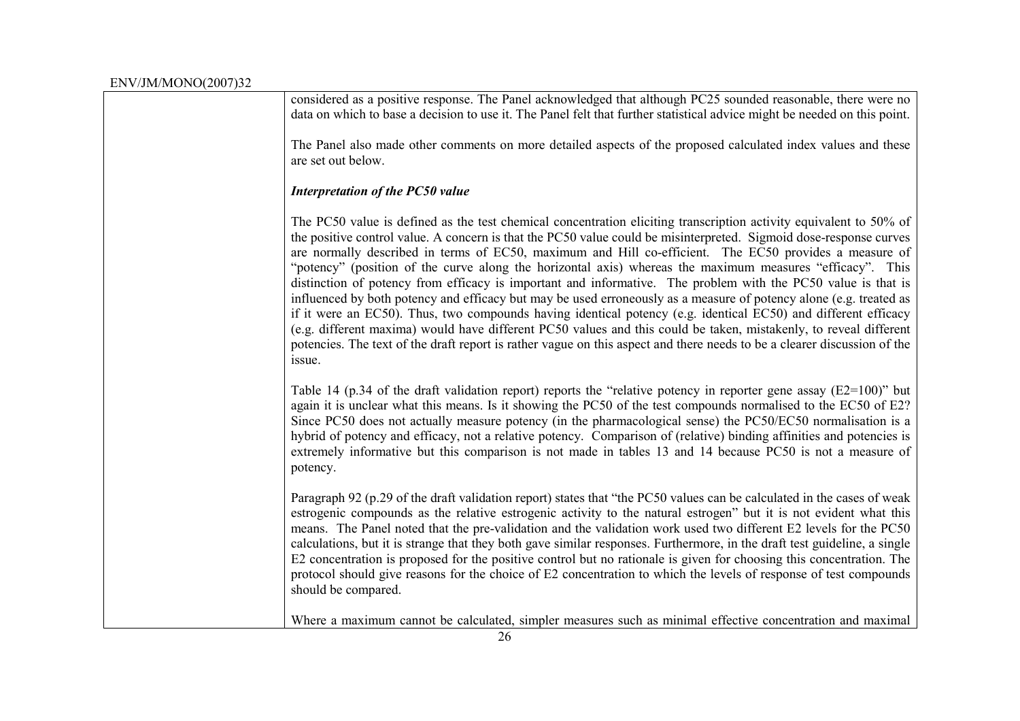| ENV/JM/MONO(2007)32 |                                                                                                                                                                                                                                                                                                                                                                                                                                                                                                                                                                                                                                                                                                                                                                                                                                                                                                                                                                                                                                                                                     |
|---------------------|-------------------------------------------------------------------------------------------------------------------------------------------------------------------------------------------------------------------------------------------------------------------------------------------------------------------------------------------------------------------------------------------------------------------------------------------------------------------------------------------------------------------------------------------------------------------------------------------------------------------------------------------------------------------------------------------------------------------------------------------------------------------------------------------------------------------------------------------------------------------------------------------------------------------------------------------------------------------------------------------------------------------------------------------------------------------------------------|
|                     | considered as a positive response. The Panel acknowledged that although PC25 sounded reasonable, there were no<br>data on which to base a decision to use it. The Panel felt that further statistical advice might be needed on this point.                                                                                                                                                                                                                                                                                                                                                                                                                                                                                                                                                                                                                                                                                                                                                                                                                                         |
|                     | The Panel also made other comments on more detailed aspects of the proposed calculated index values and these<br>are set out below.                                                                                                                                                                                                                                                                                                                                                                                                                                                                                                                                                                                                                                                                                                                                                                                                                                                                                                                                                 |
|                     | <b>Interpretation of the PC50 value</b>                                                                                                                                                                                                                                                                                                                                                                                                                                                                                                                                                                                                                                                                                                                                                                                                                                                                                                                                                                                                                                             |
|                     | The PC50 value is defined as the test chemical concentration eliciting transcription activity equivalent to 50% of<br>the positive control value. A concern is that the PC50 value could be misinterpreted. Sigmoid dose-response curves<br>are normally described in terms of EC50, maximum and Hill co-efficient. The EC50 provides a measure of<br>"potency" (position of the curve along the horizontal axis) whereas the maximum measures "efficacy". This<br>distinction of potency from efficacy is important and informative. The problem with the PC50 value is that is<br>influenced by both potency and efficacy but may be used erroneously as a measure of potency alone (e.g. treated as<br>if it were an EC50). Thus, two compounds having identical potency (e.g. identical EC50) and different efficacy<br>(e.g. different maxima) would have different PC50 values and this could be taken, mistakenly, to reveal different<br>potencies. The text of the draft report is rather vague on this aspect and there needs to be a clearer discussion of the<br>issue. |
|                     | Table 14 (p.34 of the draft validation report) reports the "relative potency in reporter gene assay (E2=100)" but<br>again it is unclear what this means. Is it showing the PC50 of the test compounds normalised to the EC50 of E2?<br>Since PC50 does not actually measure potency (in the pharmacological sense) the PC50/EC50 normalisation is a<br>hybrid of potency and efficacy, not a relative potency. Comparison of (relative) binding affinities and potencies is<br>extremely informative but this comparison is not made in tables 13 and 14 because PC50 is not a measure of<br>potency.                                                                                                                                                                                                                                                                                                                                                                                                                                                                              |
|                     | Paragraph 92 (p.29 of the draft validation report) states that "the PC50 values can be calculated in the cases of weak<br>estrogenic compounds as the relative estrogenic activity to the natural estrogen" but it is not evident what this<br>means. The Panel noted that the pre-validation and the validation work used two different E2 levels for the PC50<br>calculations, but it is strange that they both gave similar responses. Furthermore, in the draft test guideline, a single<br>E2 concentration is proposed for the positive control but no rationale is given for choosing this concentration. The<br>protocol should give reasons for the choice of E2 concentration to which the levels of response of test compounds<br>should be compared.                                                                                                                                                                                                                                                                                                                    |
|                     | Where a maximum cannot be calculated, simpler measures such as minimal effective concentration and maximal                                                                                                                                                                                                                                                                                                                                                                                                                                                                                                                                                                                                                                                                                                                                                                                                                                                                                                                                                                          |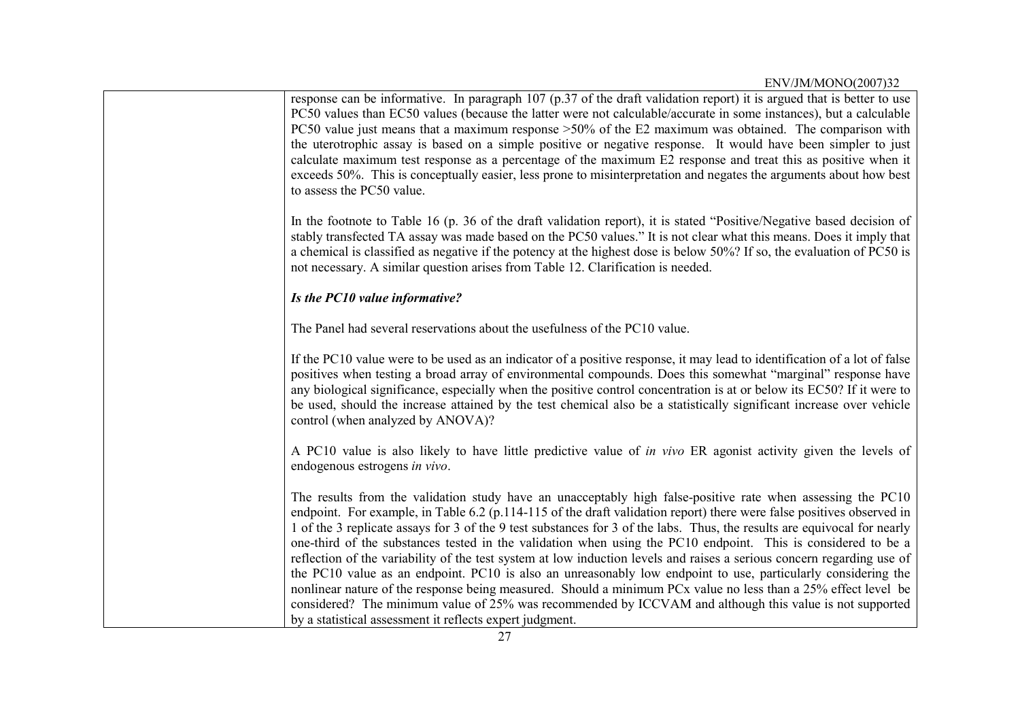| response can be informative. In paragraph 107 (p.37 of the draft validation report) it is argued that is better to use<br>PC50 values than EC50 values (because the latter were not calculable/accurate in some instances), but a calculable<br>PC50 value just means that a maximum response >50% of the E2 maximum was obtained. The comparison with<br>the uterotrophic assay is based on a simple positive or negative response. It would have been simpler to just<br>calculate maximum test response as a percentage of the maximum E2 response and treat this as positive when it<br>exceeds 50%. This is conceptually easier, less prone to misinterpretation and negates the arguments about how best<br>to assess the PC50 value.                                                                                                                                                                                                                                                                           |
|-----------------------------------------------------------------------------------------------------------------------------------------------------------------------------------------------------------------------------------------------------------------------------------------------------------------------------------------------------------------------------------------------------------------------------------------------------------------------------------------------------------------------------------------------------------------------------------------------------------------------------------------------------------------------------------------------------------------------------------------------------------------------------------------------------------------------------------------------------------------------------------------------------------------------------------------------------------------------------------------------------------------------|
| In the footnote to Table 16 (p. 36 of the draft validation report), it is stated "Positive/Negative based decision of<br>stably transfected TA assay was made based on the PC50 values." It is not clear what this means. Does it imply that<br>a chemical is classified as negative if the potency at the highest dose is below 50%? If so, the evaluation of PC50 is<br>not necessary. A similar question arises from Table 12. Clarification is needed.                                                                                                                                                                                                                                                                                                                                                                                                                                                                                                                                                            |
| Is the PC10 value informative?                                                                                                                                                                                                                                                                                                                                                                                                                                                                                                                                                                                                                                                                                                                                                                                                                                                                                                                                                                                        |
| The Panel had several reservations about the usefulness of the PC10 value.                                                                                                                                                                                                                                                                                                                                                                                                                                                                                                                                                                                                                                                                                                                                                                                                                                                                                                                                            |
| If the PC10 value were to be used as an indicator of a positive response, it may lead to identification of a lot of false<br>positives when testing a broad array of environmental compounds. Does this somewhat "marginal" response have<br>any biological significance, especially when the positive control concentration is at or below its EC50? If it were to<br>be used, should the increase attained by the test chemical also be a statistically significant increase over vehicle<br>control (when analyzed by ANOVA)?                                                                                                                                                                                                                                                                                                                                                                                                                                                                                      |
| A PC10 value is also likely to have little predictive value of <i>in vivo</i> ER agonist activity given the levels of<br>endogenous estrogens in vivo.                                                                                                                                                                                                                                                                                                                                                                                                                                                                                                                                                                                                                                                                                                                                                                                                                                                                |
| The results from the validation study have an unacceptably high false-positive rate when assessing the PC10<br>endpoint. For example, in Table 6.2 (p.114-115 of the draft validation report) there were false positives observed in<br>1 of the 3 replicate assays for 3 of the 9 test substances for 3 of the labs. Thus, the results are equivocal for nearly<br>one-third of the substances tested in the validation when using the PC10 endpoint. This is considered to be a<br>reflection of the variability of the test system at low induction levels and raises a serious concern regarding use of<br>the PC10 value as an endpoint. PC10 is also an unreasonably low endpoint to use, particularly considering the<br>nonlinear nature of the response being measured. Should a minimum PCx value no less than a 25% effect level be<br>considered? The minimum value of 25% was recommended by ICCVAM and although this value is not supported<br>by a statistical assessment it reflects expert judgment. |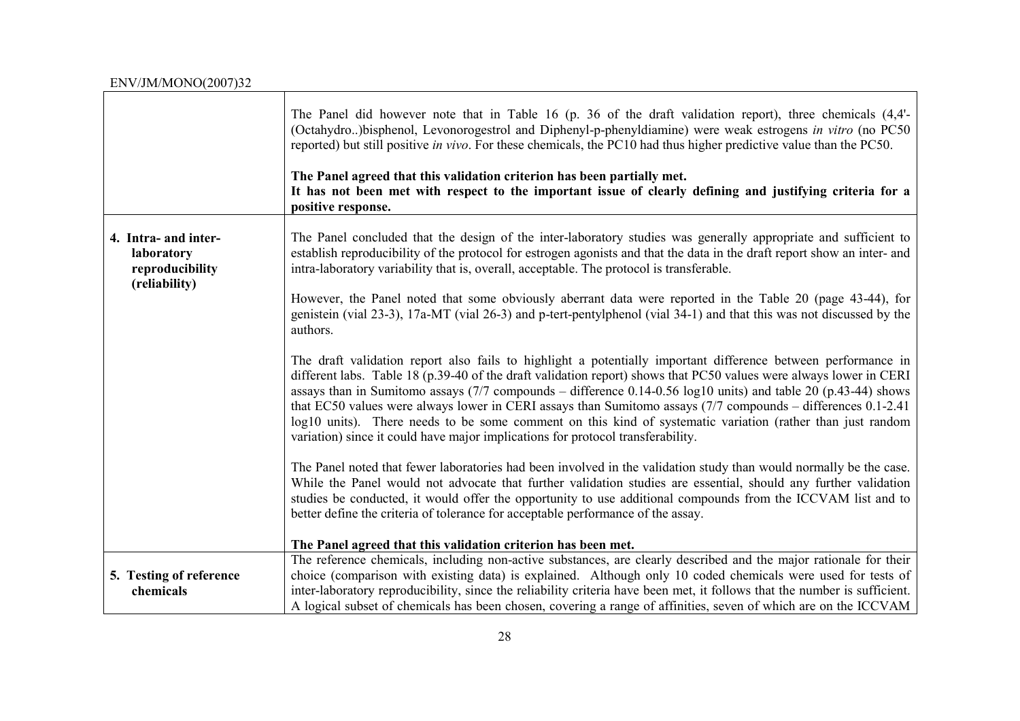| ENV/JM/MONO(2007)32                                                    |                                                                                                                                                                                                                                                                                                                                                                                                                                                                                                                                                                                                                                                                        |
|------------------------------------------------------------------------|------------------------------------------------------------------------------------------------------------------------------------------------------------------------------------------------------------------------------------------------------------------------------------------------------------------------------------------------------------------------------------------------------------------------------------------------------------------------------------------------------------------------------------------------------------------------------------------------------------------------------------------------------------------------|
|                                                                        | The Panel did however note that in Table 16 (p. 36 of the draft validation report), three chemicals (4,4'-<br>(Octahydro)bisphenol, Levonorogestrol and Diphenyl-p-phenyldiamine) were weak estrogens in vitro (no PC50<br>reported) but still positive in vivo. For these chemicals, the PC10 had thus higher predictive value than the PC50.<br>The Panel agreed that this validation criterion has been partially met.<br>It has not been met with respect to the important issue of clearly defining and justifying criteria for a<br>positive response.                                                                                                           |
| 4. Intra- and inter-<br>laboratory<br>reproducibility<br>(reliability) | The Panel concluded that the design of the inter-laboratory studies was generally appropriate and sufficient to<br>establish reproducibility of the protocol for estrogen agonists and that the data in the draft report show an inter- and<br>intra-laboratory variability that is, overall, acceptable. The protocol is transferable.                                                                                                                                                                                                                                                                                                                                |
|                                                                        | However, the Panel noted that some obviously aberrant data were reported in the Table 20 (page 43-44), for<br>genistein (vial 23-3), 17a-MT (vial 26-3) and p-tert-pentylphenol (vial 34-1) and that this was not discussed by the<br>authors.                                                                                                                                                                                                                                                                                                                                                                                                                         |
|                                                                        | The draft validation report also fails to highlight a potentially important difference between performance in<br>different labs. Table 18 (p.39-40 of the draft validation report) shows that PC50 values were always lower in CERI<br>assays than in Sumitomo assays (7/7 compounds – difference 0.14-0.56 log10 units) and table 20 (p.43-44) shows<br>that EC50 values were always lower in CERI assays than Sumitomo assays (7/7 compounds – differences 0.1-2.41<br>log10 units). There needs to be some comment on this kind of systematic variation (rather than just random<br>variation) since it could have major implications for protocol transferability. |
|                                                                        | The Panel noted that fewer laboratories had been involved in the validation study than would normally be the case.<br>While the Panel would not advocate that further validation studies are essential, should any further validation<br>studies be conducted, it would offer the opportunity to use additional compounds from the ICCVAM list and to<br>better define the criteria of tolerance for acceptable performance of the assay.                                                                                                                                                                                                                              |
|                                                                        | The Panel agreed that this validation criterion has been met.                                                                                                                                                                                                                                                                                                                                                                                                                                                                                                                                                                                                          |
| 5. Testing of reference<br>chemicals                                   | The reference chemicals, including non-active substances, are clearly described and the major rationale for their<br>choice (comparison with existing data) is explained. Although only 10 coded chemicals were used for tests of<br>inter-laboratory reproducibility, since the reliability criteria have been met, it follows that the number is sufficient.<br>A logical subset of chemicals has been chosen, covering a range of affinities, seven of which are on the ICCVAM                                                                                                                                                                                      |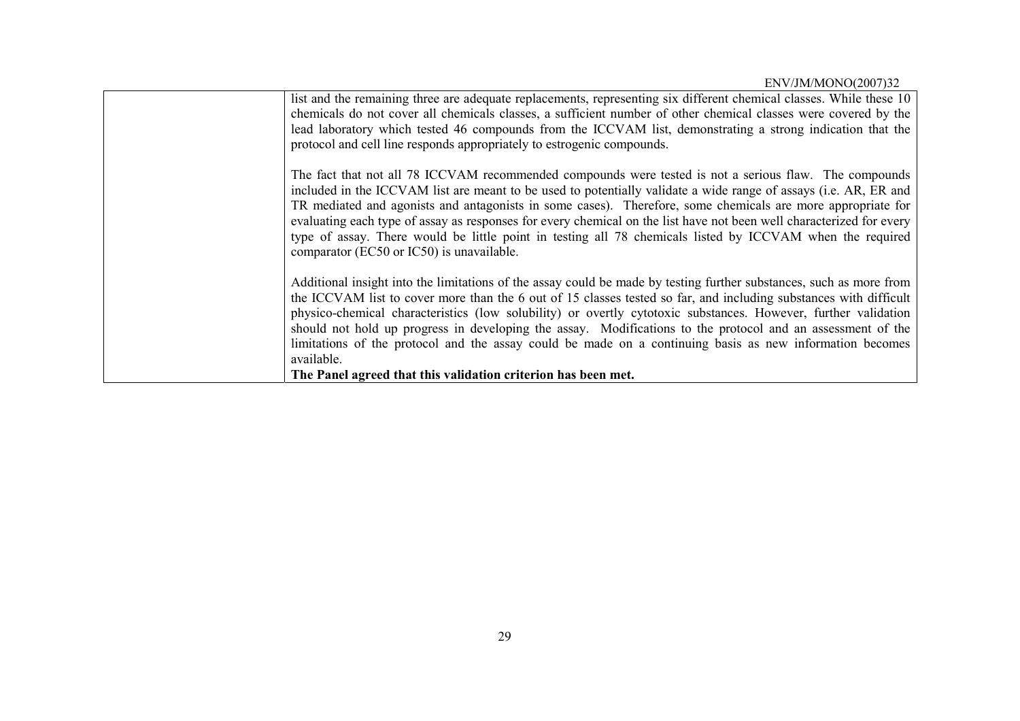| list and the remaining three are adequate replacements, representing six different chemical classes. While these 10<br>chemicals do not cover all chemicals classes, a sufficient number of other chemical classes were covered by the<br>lead laboratory which tested 46 compounds from the ICCVAM list, demonstrating a strong indication that the<br>protocol and cell line responds appropriately to estrogenic compounds.                                                                                                                                                                                                                                       |
|----------------------------------------------------------------------------------------------------------------------------------------------------------------------------------------------------------------------------------------------------------------------------------------------------------------------------------------------------------------------------------------------------------------------------------------------------------------------------------------------------------------------------------------------------------------------------------------------------------------------------------------------------------------------|
| The fact that not all 78 ICCVAM recommended compounds were tested is not a serious flaw. The compounds<br>included in the ICCVAM list are meant to be used to potentially validate a wide range of assays (i.e. AR, ER and<br>TR mediated and agonists and antagonists in some cases). Therefore, some chemicals are more appropriate for<br>evaluating each type of assay as responses for every chemical on the list have not been well characterized for every<br>type of assay. There would be little point in testing all 78 chemicals listed by ICCVAM when the required<br>comparator (EC50 or IC50) is unavailable.                                          |
| Additional insight into the limitations of the assay could be made by testing further substances, such as more from<br>the ICCVAM list to cover more than the 6 out of 15 classes tested so far, and including substances with difficult<br>physico-chemical characteristics (low solubility) or overtly cytotoxic substances. However, further validation<br>should not hold up progress in developing the assay. Modifications to the protocol and an assessment of the<br>limitations of the protocol and the assay could be made on a continuing basis as new information becomes<br>available.<br>The Panel agreed that this validation criterion has been met. |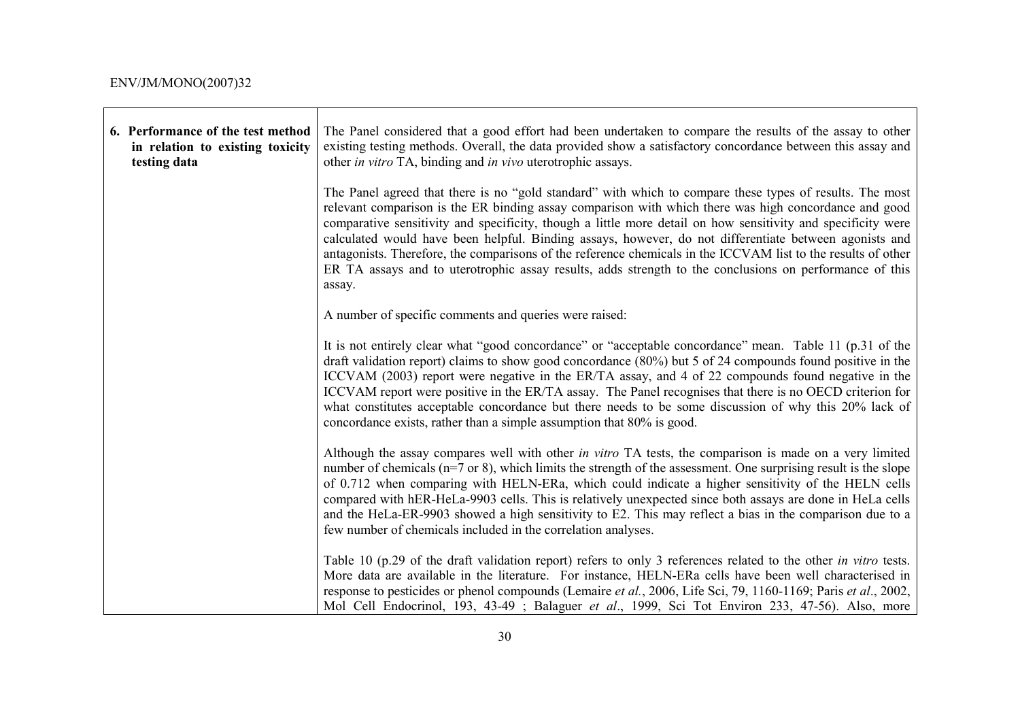T

 $\mathbf{r}$ 

| 6. Performance of the test method<br>in relation to existing toxicity<br>testing data | The Panel considered that a good effort had been undertaken to compare the results of the assay to other<br>existing testing methods. Overall, the data provided show a satisfactory concordance between this assay and<br>other in vitro TA, binding and in vivo uterotrophic assays.                                                                                                                                                                                                                                                                                                                                                                                            |
|---------------------------------------------------------------------------------------|-----------------------------------------------------------------------------------------------------------------------------------------------------------------------------------------------------------------------------------------------------------------------------------------------------------------------------------------------------------------------------------------------------------------------------------------------------------------------------------------------------------------------------------------------------------------------------------------------------------------------------------------------------------------------------------|
|                                                                                       | The Panel agreed that there is no "gold standard" with which to compare these types of results. The most<br>relevant comparison is the ER binding assay comparison with which there was high concordance and good<br>comparative sensitivity and specificity, though a little more detail on how sensitivity and specificity were<br>calculated would have been helpful. Binding assays, however, do not differentiate between agonists and<br>antagonists. Therefore, the comparisons of the reference chemicals in the ICCVAM list to the results of other<br>ER TA assays and to uterotrophic assay results, adds strength to the conclusions on performance of this<br>assay. |
|                                                                                       | A number of specific comments and queries were raised:                                                                                                                                                                                                                                                                                                                                                                                                                                                                                                                                                                                                                            |
|                                                                                       | It is not entirely clear what "good concordance" or "acceptable concordance" mean. Table 11 (p.31 of the<br>draft validation report) claims to show good concordance $(80\%)$ but 5 of 24 compounds found positive in the<br>ICCVAM (2003) report were negative in the ER/TA assay, and 4 of 22 compounds found negative in the<br>ICCVAM report were positive in the ER/TA assay. The Panel recognises that there is no OECD criterion for<br>what constitutes acceptable concordance but there needs to be some discussion of why this 20% lack of<br>concordance exists, rather than a simple assumption that 80% is good.                                                     |
|                                                                                       | Although the assay compares well with other in vitro TA tests, the comparison is made on a very limited<br>number of chemicals $(n=7 \text{ or } 8)$ , which limits the strength of the assessment. One surprising result is the slope<br>of 0.712 when comparing with HELN-ERa, which could indicate a higher sensitivity of the HELN cells<br>compared with hER-HeLa-9903 cells. This is relatively unexpected since both assays are done in HeLa cells<br>and the HeLa-ER-9903 showed a high sensitivity to E2. This may reflect a bias in the comparison due to a<br>few number of chemicals included in the correlation analyses.                                            |
|                                                                                       | Table 10 (p.29 of the draft validation report) refers to only 3 references related to the other in vitro tests.<br>More data are available in the literature. For instance, HELN-ERa cells have been well characterised in<br>response to pesticides or phenol compounds (Lemaire et al., 2006, Life Sci, 79, 1160-1169; Paris et al., 2002,<br>Mol Cell Endocrinol, 193, 43-49; Balaguer et al., 1999, Sci Tot Environ 233, 47-56). Also, more                                                                                                                                                                                                                                   |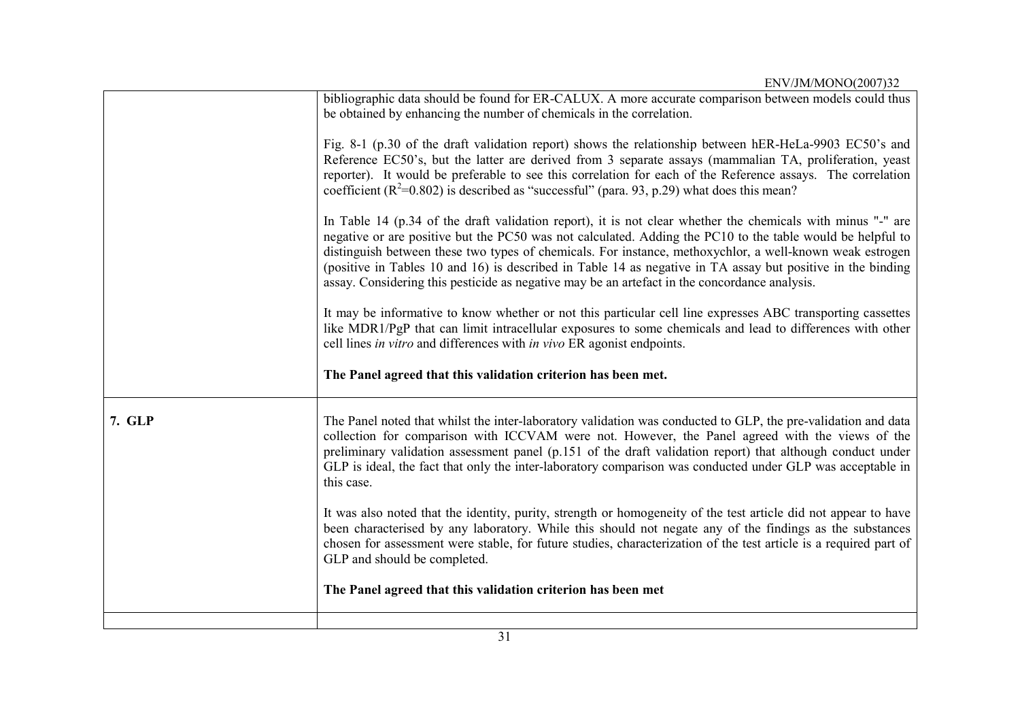|        | ENV/JM/MONO(2007)32                                                                                                                                                                                                                                                                                                                                                                                                                                                                                                                                   |
|--------|-------------------------------------------------------------------------------------------------------------------------------------------------------------------------------------------------------------------------------------------------------------------------------------------------------------------------------------------------------------------------------------------------------------------------------------------------------------------------------------------------------------------------------------------------------|
|        | bibliographic data should be found for ER-CALUX. A more accurate comparison between models could thus<br>be obtained by enhancing the number of chemicals in the correlation.                                                                                                                                                                                                                                                                                                                                                                         |
|        | Fig. 8-1 (p.30 of the draft validation report) shows the relationship between hER-HeLa-9903 EC50's and<br>Reference EC50's, but the latter are derived from 3 separate assays (mammalian TA, proliferation, yeast<br>reporter). It would be preferable to see this correlation for each of the Reference assays. The correlation<br>coefficient ( $R^2$ =0.802) is described as "successful" (para. 93, p.29) what does this mean?                                                                                                                    |
|        | In Table 14 (p.34 of the draft validation report), it is not clear whether the chemicals with minus "-" are<br>negative or are positive but the PC50 was not calculated. Adding the PC10 to the table would be helpful to<br>distinguish between these two types of chemicals. For instance, methoxychlor, a well-known weak estrogen<br>(positive in Tables 10 and 16) is described in Table 14 as negative in TA assay but positive in the binding<br>assay. Considering this pesticide as negative may be an artefact in the concordance analysis. |
|        | It may be informative to know whether or not this particular cell line expresses ABC transporting cassettes<br>like MDR1/PgP that can limit intracellular exposures to some chemicals and lead to differences with other<br>cell lines in vitro and differences with in vivo ER agonist endpoints.                                                                                                                                                                                                                                                    |
|        | The Panel agreed that this validation criterion has been met.                                                                                                                                                                                                                                                                                                                                                                                                                                                                                         |
| 7. GLP | The Panel noted that whilst the inter-laboratory validation was conducted to GLP, the pre-validation and data<br>collection for comparison with ICCVAM were not. However, the Panel agreed with the views of the<br>preliminary validation assessment panel (p.151 of the draft validation report) that although conduct under<br>GLP is ideal, the fact that only the inter-laboratory comparison was conducted under GLP was acceptable in<br>this case.                                                                                            |
|        | It was also noted that the identity, purity, strength or homogeneity of the test article did not appear to have<br>been characterised by any laboratory. While this should not negate any of the findings as the substances<br>chosen for assessment were stable, for future studies, characterization of the test article is a required part of<br>GLP and should be completed.                                                                                                                                                                      |
|        | The Panel agreed that this validation criterion has been met                                                                                                                                                                                                                                                                                                                                                                                                                                                                                          |
|        |                                                                                                                                                                                                                                                                                                                                                                                                                                                                                                                                                       |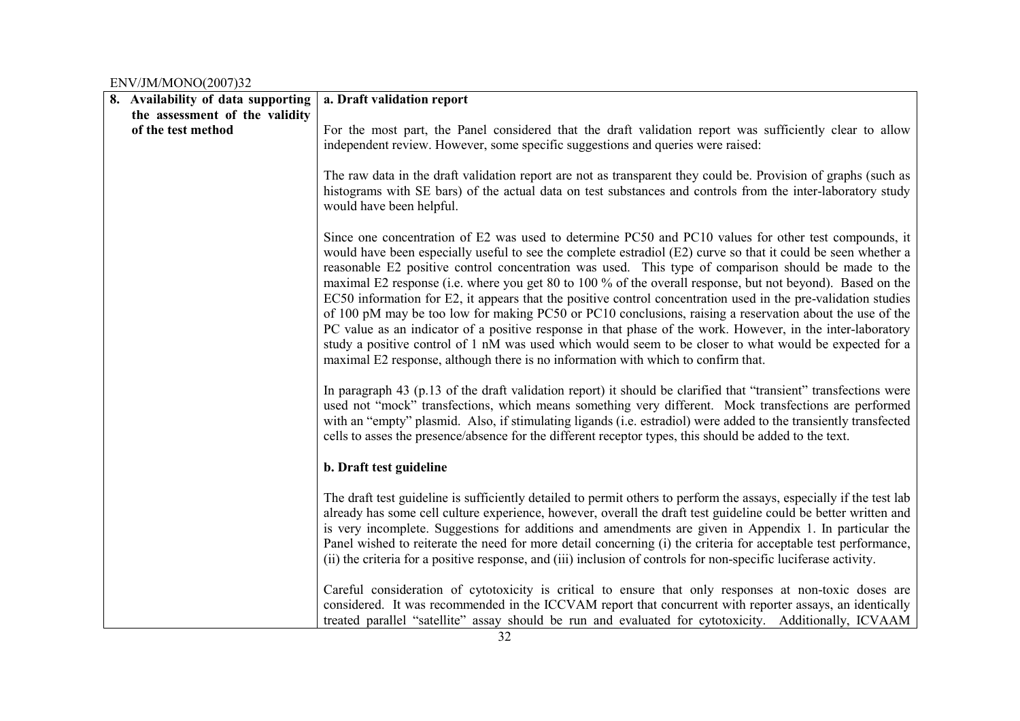| 8. Availability of data supporting | a. Draft validation report                                                                                                                                                                                                                                                                                                                                                                                                                                                                                                                                                                                                                                                                                                                                                                                                                                                                                                                                                                |
|------------------------------------|-------------------------------------------------------------------------------------------------------------------------------------------------------------------------------------------------------------------------------------------------------------------------------------------------------------------------------------------------------------------------------------------------------------------------------------------------------------------------------------------------------------------------------------------------------------------------------------------------------------------------------------------------------------------------------------------------------------------------------------------------------------------------------------------------------------------------------------------------------------------------------------------------------------------------------------------------------------------------------------------|
| the assessment of the validity     |                                                                                                                                                                                                                                                                                                                                                                                                                                                                                                                                                                                                                                                                                                                                                                                                                                                                                                                                                                                           |
| of the test method                 | For the most part, the Panel considered that the draft validation report was sufficiently clear to allow<br>independent review. However, some specific suggestions and queries were raised:                                                                                                                                                                                                                                                                                                                                                                                                                                                                                                                                                                                                                                                                                                                                                                                               |
|                                    | The raw data in the draft validation report are not as transparent they could be. Provision of graphs (such as<br>histograms with SE bars) of the actual data on test substances and controls from the inter-laboratory study<br>would have been helpful.                                                                                                                                                                                                                                                                                                                                                                                                                                                                                                                                                                                                                                                                                                                                 |
|                                    | Since one concentration of E2 was used to determine PC50 and PC10 values for other test compounds, it<br>would have been especially useful to see the complete estradiol (E2) curve so that it could be seen whether a<br>reasonable E2 positive control concentration was used. This type of comparison should be made to the<br>maximal E2 response (i.e. where you get 80 to 100 % of the overall response, but not beyond). Based on the<br>EC50 information for E2, it appears that the positive control concentration used in the pre-validation studies<br>of 100 pM may be too low for making PC50 or PC10 conclusions, raising a reservation about the use of the<br>PC value as an indicator of a positive response in that phase of the work. However, in the inter-laboratory<br>study a positive control of 1 nM was used which would seem to be closer to what would be expected for a<br>maximal E2 response, although there is no information with which to confirm that. |
|                                    | In paragraph 43 (p.13 of the draft validation report) it should be clarified that "transient" transfections were<br>used not "mock" transfections, which means something very different. Mock transfections are performed<br>with an "empty" plasmid. Also, if stimulating ligands (i.e. estradiol) were added to the transiently transfected<br>cells to asses the presence/absence for the different receptor types, this should be added to the text.                                                                                                                                                                                                                                                                                                                                                                                                                                                                                                                                  |
|                                    | b. Draft test guideline                                                                                                                                                                                                                                                                                                                                                                                                                                                                                                                                                                                                                                                                                                                                                                                                                                                                                                                                                                   |
|                                    | The draft test guideline is sufficiently detailed to permit others to perform the assays, especially if the test lab<br>already has some cell culture experience, however, overall the draft test guideline could be better written and<br>is very incomplete. Suggestions for additions and amendments are given in Appendix 1. In particular the<br>Panel wished to reiterate the need for more detail concerning (i) the criteria for acceptable test performance,<br>(ii) the criteria for a positive response, and (iii) inclusion of controls for non-specific luciferase activity.                                                                                                                                                                                                                                                                                                                                                                                                 |
|                                    | Careful consideration of cytotoxicity is critical to ensure that only responses at non-toxic doses are<br>considered. It was recommended in the ICCVAM report that concurrent with reporter assays, an identically<br>treated parallel "satellite" assay should be run and evaluated for cytotoxicity. Additionally, ICVAAM                                                                                                                                                                                                                                                                                                                                                                                                                                                                                                                                                                                                                                                               |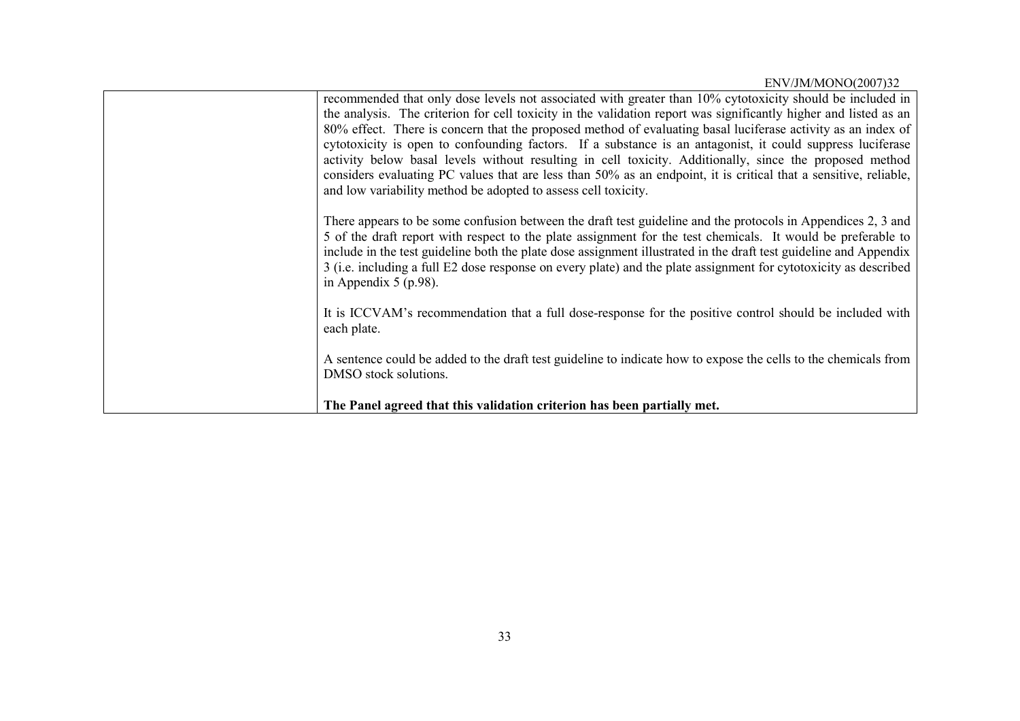| recommended that only dose levels not associated with greater than 10% cytotoxicity should be included in<br>the analysis. The criterion for cell toxicity in the validation report was significantly higher and listed as an<br>80% effect. There is concern that the proposed method of evaluating basal luciferase activity as an index of<br>cytotoxicity is open to confounding factors. If a substance is an antagonist, it could suppress luciferase<br>activity below basal levels without resulting in cell toxicity. Additionally, since the proposed method<br>considers evaluating PC values that are less than 50% as an endpoint, it is critical that a sensitive, reliable,<br>and low variability method be adopted to assess cell toxicity. |
|--------------------------------------------------------------------------------------------------------------------------------------------------------------------------------------------------------------------------------------------------------------------------------------------------------------------------------------------------------------------------------------------------------------------------------------------------------------------------------------------------------------------------------------------------------------------------------------------------------------------------------------------------------------------------------------------------------------------------------------------------------------|
| There appears to be some confusion between the draft test guideline and the protocols in Appendices 2, 3 and<br>5 of the draft report with respect to the plate assignment for the test chemicals. It would be preferable to<br>include in the test guideline both the plate dose assignment illustrated in the draft test guideline and Appendix<br>3 (i.e. including a full E2 dose response on every plate) and the plate assignment for cytotoxicity as described<br>in Appendix $5$ (p.98).                                                                                                                                                                                                                                                             |
| It is ICCVAM's recommendation that a full dose-response for the positive control should be included with<br>each plate.                                                                                                                                                                                                                                                                                                                                                                                                                                                                                                                                                                                                                                      |
| A sentence could be added to the draft test guideline to indicate how to expose the cells to the chemicals from<br>DMSO stock solutions.                                                                                                                                                                                                                                                                                                                                                                                                                                                                                                                                                                                                                     |
| The Panel agreed that this validation criterion has been partially met.                                                                                                                                                                                                                                                                                                                                                                                                                                                                                                                                                                                                                                                                                      |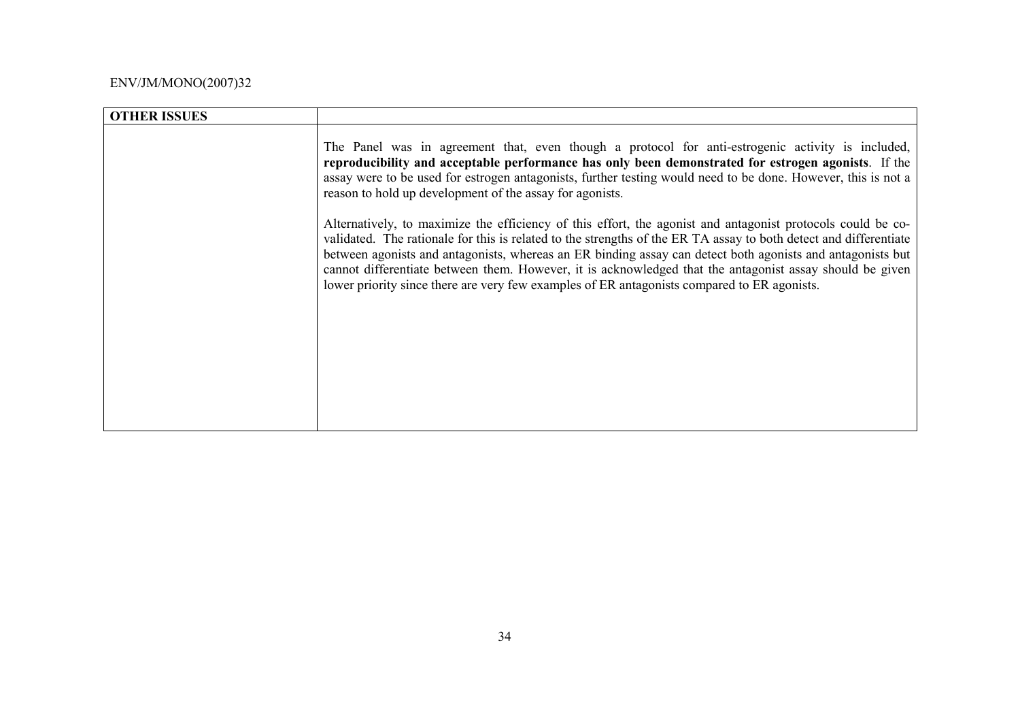| <b>OTHER ISSUES</b> |                                                                                                                                                                                                                                                                                                                                                                                                                                                                                                                                                           |
|---------------------|-----------------------------------------------------------------------------------------------------------------------------------------------------------------------------------------------------------------------------------------------------------------------------------------------------------------------------------------------------------------------------------------------------------------------------------------------------------------------------------------------------------------------------------------------------------|
|                     | The Panel was in agreement that, even though a protocol for anti-estrogenic activity is included,<br>reproducibility and acceptable performance has only been demonstrated for estrogen agonists. If the<br>assay were to be used for estrogen antagonists, further testing would need to be done. However, this is not a<br>reason to hold up development of the assay for agonists.                                                                                                                                                                     |
|                     | Alternatively, to maximize the efficiency of this effort, the agonist and antagonist protocols could be co-<br>validated. The rationale for this is related to the strengths of the ER TA assay to both detect and differentiate<br>between agonists and antagonists, whereas an ER binding assay can detect both agonists and antagonists but<br>cannot differentiate between them. However, it is acknowledged that the antagonist assay should be given<br>lower priority since there are very few examples of ER antagonists compared to ER agonists. |
|                     |                                                                                                                                                                                                                                                                                                                                                                                                                                                                                                                                                           |
|                     |                                                                                                                                                                                                                                                                                                                                                                                                                                                                                                                                                           |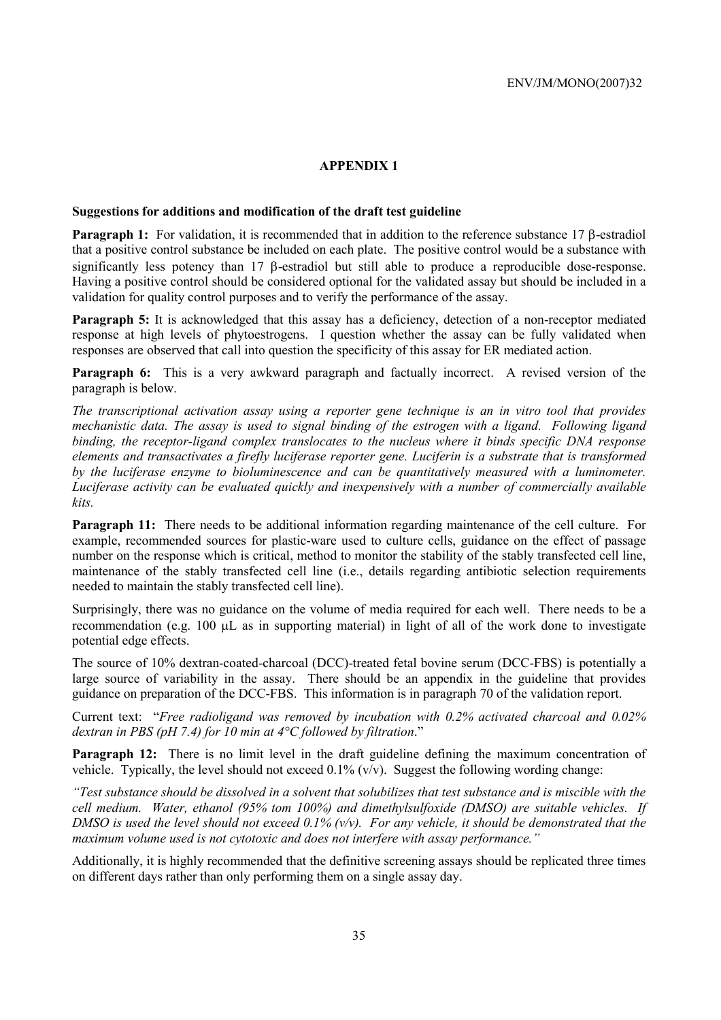# **APPENDIX 1**

#### **Suggestions for additions and modification of the draft test guideline**

**Paragraph 1:** For validation, it is recommended that in addition to the reference substance 17 β-estradiol that a positive control substance be included on each plate. The positive control would be a substance with significantly less potency than 17 β-estradiol but still able to produce a reproducible dose-response. Having a positive control should be considered optional for the validated assay but should be included in a validation for quality control purposes and to verify the performance of the assay.

**Paragraph 5:** It is acknowledged that this assay has a deficiency, detection of a non-receptor mediated response at high levels of phytoestrogens. I question whether the assay can be fully validated when responses are observed that call into question the specificity of this assay for ER mediated action.

**Paragraph 6:** This is a very awkward paragraph and factually incorrect. A revised version of the paragraph is below.

*The transcriptional activation assay using a reporter gene technique is an in vitro tool that provides mechanistic data. The assay is used to signal binding of the estrogen with a ligand. Following ligand binding, the receptor-ligand complex translocates to the nucleus where it binds specific DNA response elements and transactivates a firefly luciferase reporter gene. Luciferin is a substrate that is transformed by the luciferase enzyme to bioluminescence and can be quantitatively measured with a luminometer. Luciferase activity can be evaluated quickly and inexpensively with a number of commercially available kits.* 

**Paragraph 11:** There needs to be additional information regarding maintenance of the cell culture. For example, recommended sources for plastic-ware used to culture cells, guidance on the effect of passage number on the response which is critical, method to monitor the stability of the stably transfected cell line, maintenance of the stably transfected cell line (i.e., details regarding antibiotic selection requirements needed to maintain the stably transfected cell line).

Surprisingly, there was no guidance on the volume of media required for each well. There needs to be a recommendation (e.g. 100 µL as in supporting material) in light of all of the work done to investigate potential edge effects.

The source of 10% dextran-coated-charcoal (DCC)-treated fetal bovine serum (DCC-FBS) is potentially a large source of variability in the assay. There should be an appendix in the guideline that provides guidance on preparation of the DCC-FBS. This information is in paragraph 70 of the validation report.

Current text: "*Free radioligand was removed by incubation with 0.2% activated charcoal and 0.02% dextran in PBS (pH 7.4) for 10 min at 4°C followed by filtration*."

**Paragraph 12:** There is no limit level in the draft guideline defining the maximum concentration of vehicle. Typically, the level should not exceed  $0.1\%$  (v/v). Suggest the following wording change:

*"Test substance should be dissolved in a solvent that solubilizes that test substance and is miscible with the cell medium. Water, ethanol (95% tom 100%) and dimethylsulfoxide (DMSO) are suitable vehicles. If DMSO is used the level should not exceed 0.1% (v/v). For any vehicle, it should be demonstrated that the maximum volume used is not cytotoxic and does not interfere with assay performance."* 

Additionally, it is highly recommended that the definitive screening assays should be replicated three times on different days rather than only performing them on a single assay day.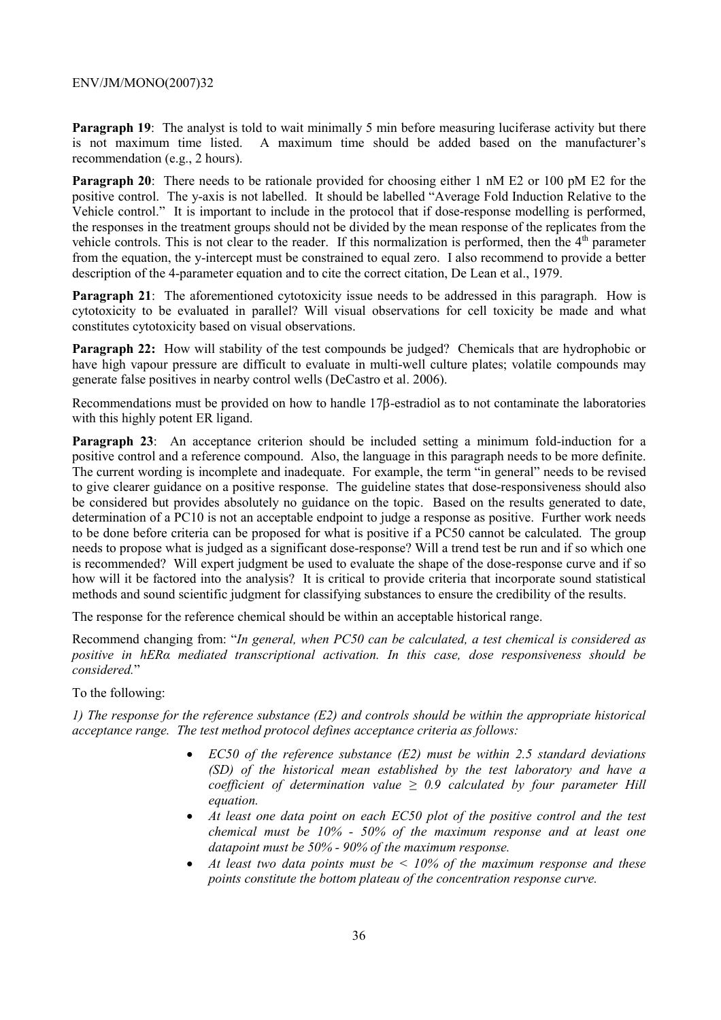**Paragraph 19:** The analyst is told to wait minimally 5 min before measuring luciferase activity but there is not maximum time listed. A maximum time should be added based on the manufacturer's recommendation (e.g., 2 hours).

**Paragraph 20**: There needs to be rationale provided for choosing either 1 nM E2 or 100 pM E2 for the positive control. The y-axis is not labelled. It should be labelled "Average Fold Induction Relative to the Vehicle control." It is important to include in the protocol that if dose-response modelling is performed, the responses in the treatment groups should not be divided by the mean response of the replicates from the vehicle controls. This is not clear to the reader. If this normalization is performed, then the  $4<sup>th</sup>$  parameter from the equation, the y-intercept must be constrained to equal zero. I also recommend to provide a better description of the 4-parameter equation and to cite the correct citation, De Lean et al., 1979.

**Paragraph 21:** The aforementioned cytotoxicity issue needs to be addressed in this paragraph. How is cytotoxicity to be evaluated in parallel? Will visual observations for cell toxicity be made and what constitutes cytotoxicity based on visual observations.

**Paragraph 22:** How will stability of the test compounds be judged? Chemicals that are hydrophobic or have high vapour pressure are difficult to evaluate in multi-well culture plates; volatile compounds may generate false positives in nearby control wells (DeCastro et al. 2006).

Recommendations must be provided on how to handle 17β-estradiol as to not contaminate the laboratories with this highly potent ER ligand.

**Paragraph 23:** An acceptance criterion should be included setting a minimum fold-induction for a positive control and a reference compound. Also, the language in this paragraph needs to be more definite. The current wording is incomplete and inadequate. For example, the term "in general" needs to be revised to give clearer guidance on a positive response. The guideline states that dose-responsiveness should also be considered but provides absolutely no guidance on the topic. Based on the results generated to date, determination of a PC10 is not an acceptable endpoint to judge a response as positive. Further work needs to be done before criteria can be proposed for what is positive if a PC50 cannot be calculated. The group needs to propose what is judged as a significant dose-response? Will a trend test be run and if so which one is recommended? Will expert judgment be used to evaluate the shape of the dose-response curve and if so how will it be factored into the analysis? It is critical to provide criteria that incorporate sound statistical methods and sound scientific judgment for classifying substances to ensure the credibility of the results.

The response for the reference chemical should be within an acceptable historical range.

Recommend changing from: "*In general, when PC50 can be calculated, a test chemical is considered as positive in hERα mediated transcriptional activation. In this case, dose responsiveness should be considered.*"

To the following:

*1) The response for the reference substance (E2) and controls should be within the appropriate historical acceptance range. The test method protocol defines acceptance criteria as follows:* 

- *EC50 of the reference substance (E2) must be within 2.5 standard deviations (SD) of the historical mean established by the test laboratory and have a coefficient of determination value*  $\geq 0.9$  *calculated by four parameter Hill equation.*
- At least one data point on each EC50 plot of the positive control and the test *chemical must be 10% - 50% of the maximum response and at least one datapoint must be 50% - 90% of the maximum response.*
- *At least two data points must be < 10% of the maximum response and these points constitute the bottom plateau of the concentration response curve.*